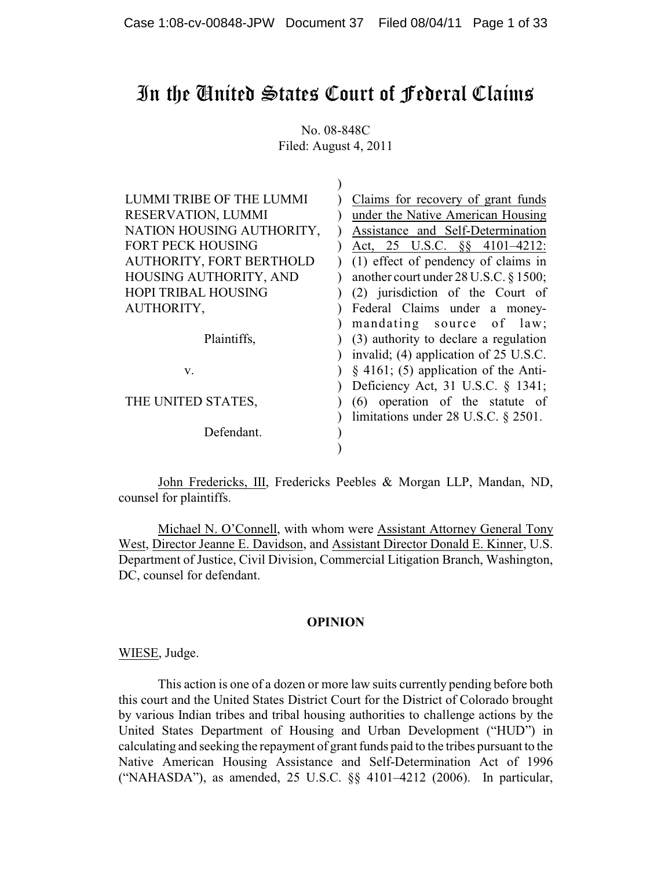# In the United States Court of Federal Claims

No. 08-848C Filed: August 4, 2011

| LUMMI TRIBE OF THE LUMMI   | Claims for recovery of grant funds          |
|----------------------------|---------------------------------------------|
| RESERVATION, LUMMI         | under the Native American Housing           |
| NATION HOUSING AUTHORITY,  | Assistance and Self-Determination           |
| FORT PECK HOUSING          | Act, 25 U.S.C. §§ 4101-4212:                |
| AUTHORITY, FORT BERTHOLD   | (1) effect of pendency of claims in         |
| HOUSING AUTHORITY, AND     | another court under 28 U.S.C. § 1500;       |
| <b>HOPI TRIBAL HOUSING</b> | (2) jurisdiction of the Court of            |
| AUTHORITY,                 | Federal Claims under a money-               |
|                            | mandating source of law;                    |
| Plaintiffs,                | (3) authority to declare a regulation       |
|                            | invalid; (4) application of 25 U.S.C.       |
| V.                         | $\S$ 4161; (5) application of the Anti-     |
|                            | Deficiency Act, 31 U.S.C. § 1341;           |
| THE UNITED STATES,         | (6) operation of the statute of             |
|                            | limitations under $28$ U.S.C. $\S$ $2501$ . |
| Defendant.                 |                                             |
|                            |                                             |

John Fredericks, III, Fredericks Peebles & Morgan LLP, Mandan, ND, counsel for plaintiffs.

Michael N. O'Connell, with whom were Assistant Attorney General Tony West, Director Jeanne E. Davidson, and Assistant Director Donald E. Kinner, U.S. Department of Justice, Civil Division, Commercial Litigation Branch, Washington, DC, counsel for defendant.

## **OPINION**

WIESE, Judge.

This action is one of a dozen or more law suits currently pending before both this court and the United States District Court for the District of Colorado brought by various Indian tribes and tribal housing authorities to challenge actions by the United States Department of Housing and Urban Development ("HUD") in calculating and seeking the repayment of grant funds paid to the tribes pursuant to the Native American Housing Assistance and Self-Determination Act of 1996 ("NAHASDA"), as amended, 25 U.S.C. §§ 4101–4212 (2006). In particular,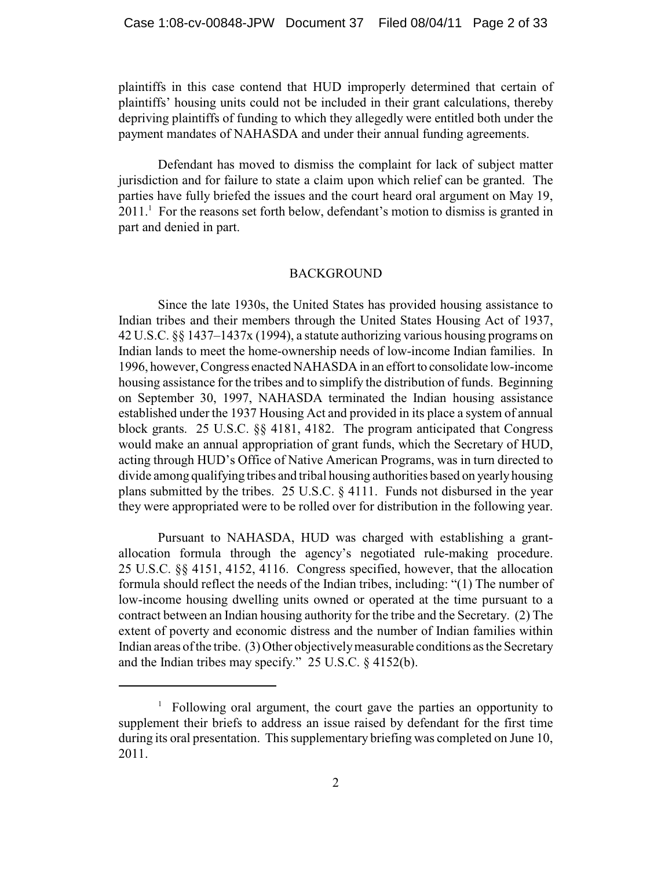plaintiffs in this case contend that HUD improperly determined that certain of plaintiffs' housing units could not be included in their grant calculations, thereby depriving plaintiffs of funding to which they allegedly were entitled both under the payment mandates of NAHASDA and under their annual funding agreements.

Defendant has moved to dismiss the complaint for lack of subject matter jurisdiction and for failure to state a claim upon which relief can be granted. The parties have fully briefed the issues and the court heard oral argument on May 19,  $2011<sup>1</sup>$  For the reasons set forth below, defendant's motion to dismiss is granted in part and denied in part.

#### BACKGROUND

Since the late 1930s, the United States has provided housing assistance to Indian tribes and their members through the United States Housing Act of 1937, 42 U.S.C. §§ 1437–1437x (1994), a statute authorizing various housing programs on Indian lands to meet the home-ownership needs of low-income Indian families. In 1996, however, Congress enacted NAHASDA in an effort to consolidate low-income housing assistance for the tribes and to simplify the distribution of funds. Beginning on September 30, 1997, NAHASDA terminated the Indian housing assistance established under the 1937 Housing Act and provided in its place a system of annual block grants. 25 U.S.C. §§ 4181, 4182. The program anticipated that Congress would make an annual appropriation of grant funds, which the Secretary of HUD, acting through HUD's Office of Native American Programs, was in turn directed to divide among qualifying tribes and tribal housing authorities based on yearly housing plans submitted by the tribes. 25 U.S.C. § 4111. Funds not disbursed in the year they were appropriated were to be rolled over for distribution in the following year.

Pursuant to NAHASDA, HUD was charged with establishing a grantallocation formula through the agency's negotiated rule-making procedure. 25 U.S.C. §§ 4151, 4152, 4116. Congress specified, however, that the allocation formula should reflect the needs of the Indian tribes, including: "(1) The number of low-income housing dwelling units owned or operated at the time pursuant to a contract between an Indian housing authority for the tribe and the Secretary. (2) The extent of poverty and economic distress and the number of Indian families within Indian areas of the tribe. (3) Other objectively measurable conditions as the Secretary and the Indian tribes may specify." 25 U.S.C. § 4152(b).

 $\frac{1}{1}$  Following oral argument, the court gave the parties an opportunity to supplement their briefs to address an issue raised by defendant for the first time during its oral presentation. This supplementary briefing was completed on June 10, 2011.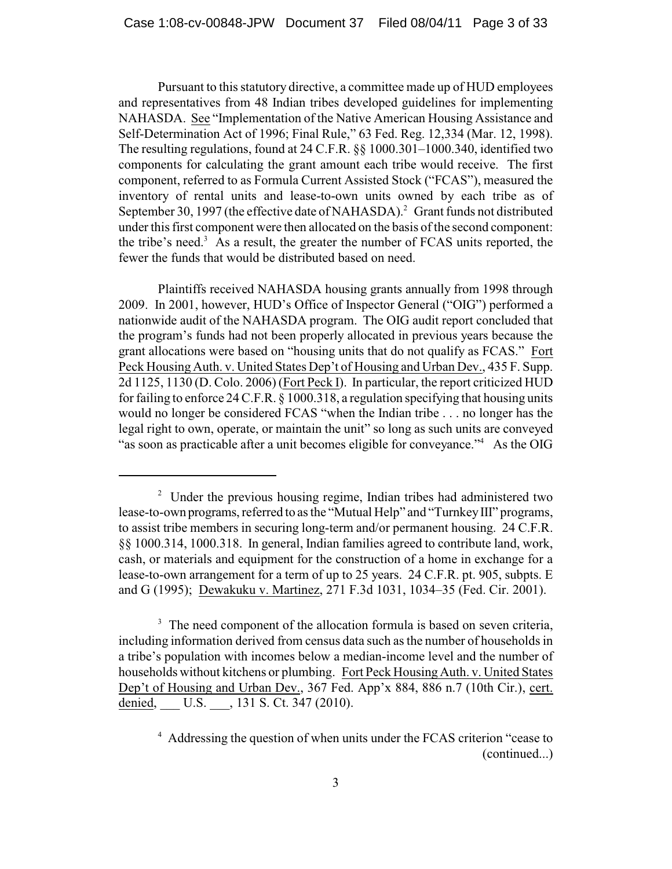Pursuant to this statutory directive, a committee made up of HUD employees and representatives from 48 Indian tribes developed guidelines for implementing NAHASDA. See "Implementation of the Native American Housing Assistance and Self-Determination Act of 1996; Final Rule," 63 Fed. Reg. 12,334 (Mar. 12, 1998). The resulting regulations, found at 24 C.F.R. §§ 1000.301–1000.340, identified two components for calculating the grant amount each tribe would receive. The first component, referred to as Formula Current Assisted Stock ("FCAS"), measured the inventory of rental units and lease-to-own units owned by each tribe as of September 30, 1997 (the effective date of NAHASDA).<sup>2</sup> Grant funds not distributed under this first component were then allocated on the basis of the second component: the tribe's need.<sup>3</sup> As a result, the greater the number of FCAS units reported, the fewer the funds that would be distributed based on need.

Plaintiffs received NAHASDA housing grants annually from 1998 through 2009. In 2001, however, HUD's Office of Inspector General ("OIG") performed a nationwide audit of the NAHASDA program. The OIG audit report concluded that the program's funds had not been properly allocated in previous years because the grant allocations were based on "housing units that do not qualify as FCAS." Fort Peck Housing Auth. v. United States Dep't of Housing and Urban Dev., 435 F. Supp. 2d 1125, 1130 (D. Colo. 2006) (Fort Peck I). In particular, the report criticized HUD for failing to enforce 24 C.F.R.  $\S$  1000.318, a regulation specifying that housing units would no longer be considered FCAS "when the Indian tribe . . . no longer has the legal right to own, operate, or maintain the unit" so long as such units are conveyed "as soon as practicable after a unit becomes eligible for conveyance."<sup>4</sup> As the OIG

<sup>&</sup>lt;sup>2</sup> Under the previous housing regime, Indian tribes had administered two lease-to-own programs, referred to as the "Mutual Help" and "Turnkey III" programs, to assist tribe members in securing long-term and/or permanent housing. 24 C.F.R. §§ 1000.314, 1000.318. In general, Indian families agreed to contribute land, work, cash, or materials and equipment for the construction of a home in exchange for a lease-to-own arrangement for a term of up to 25 years. 24 C.F.R. pt. 905, subpts. E and G (1995); Dewakuku v. Martinez, 271 F.3d 1031, 1034–35 (Fed. Cir. 2001).

 $3\text{ The need component of the allocation formula is based on seven criteria,}$ including information derived from census data such as the number of households in a tribe's population with incomes below a median-income level and the number of households without kitchens or plumbing. Fort Peck Housing Auth. v. United States Dep't of Housing and Urban Dev., 367 Fed. App'x 884, 886 n.7 (10th Cir.), cert. denied, U.S. , 131 S. Ct. 347 (2010).

<sup>&</sup>lt;sup>4</sup> Addressing the question of when units under the FCAS criterion "cease to (continued...)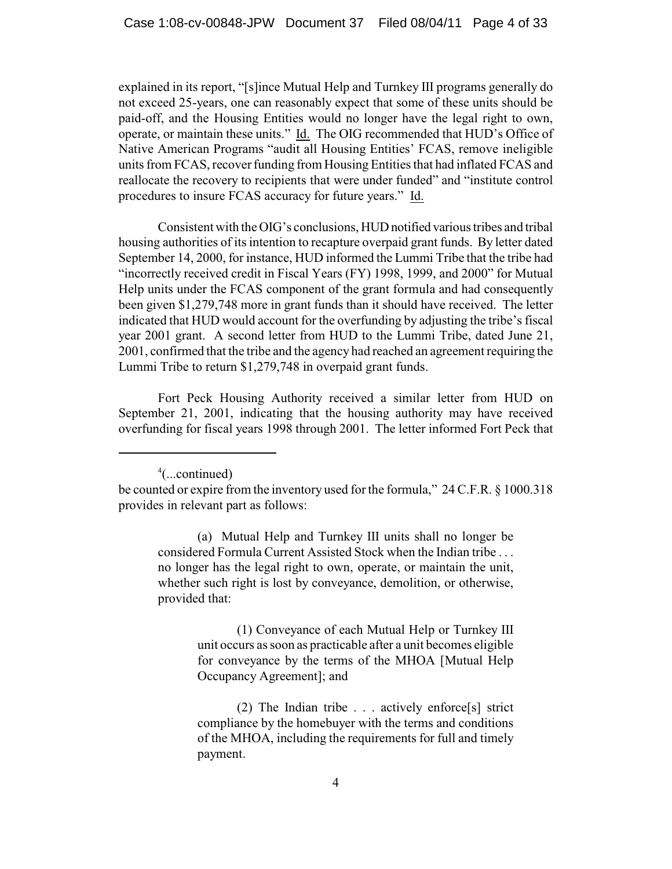explained in its report, "[s]ince Mutual Help and Turnkey III programs generally do not exceed 25-years, one can reasonably expect that some of these units should be paid-off, and the Housing Entities would no longer have the legal right to own, operate, or maintain these units." Id. The OIG recommended that HUD's Office of Native American Programs "audit all Housing Entities' FCAS, remove ineligible units from FCAS, recover funding from Housing Entities that had inflated FCAS and reallocate the recovery to recipients that were under funded" and "institute control procedures to insure FCAS accuracy for future years." Id.

Consistent with the OIG's conclusions, HUD notified various tribes and tribal housing authorities of its intention to recapture overpaid grant funds. By letter dated September 14, 2000, for instance, HUD informed the Lummi Tribe that the tribe had "incorrectly received credit in Fiscal Years (FY) 1998, 1999, and 2000" for Mutual Help units under the FCAS component of the grant formula and had consequently been given \$1,279,748 more in grant funds than it should have received. The letter indicated that HUD would account for the overfunding by adjusting the tribe's fiscal year 2001 grant. A second letter from HUD to the Lummi Tribe, dated June 21, 2001, confirmed that the tribe and the agency had reached an agreement requiring the Lummi Tribe to return \$1,279,748 in overpaid grant funds.

Fort Peck Housing Authority received a similar letter from HUD on September 21, 2001, indicating that the housing authority may have received overfunding for fiscal years 1998 through 2001. The letter informed Fort Peck that

 $4$ (...continued)

(a) Mutual Help and Turnkey III units shall no longer be considered Formula Current Assisted Stock when the Indian tribe . . . no longer has the legal right to own, operate, or maintain the unit, whether such right is lost by conveyance, demolition, or otherwise, provided that:

> (1) Conveyance of each Mutual Help or Turnkey III unit occurs as soon as practicable after a unit becomes eligible for conveyance by the terms of the MHOA [Mutual Help Occupancy Agreement]; and

> (2) The Indian tribe . . . actively enforce[s] strict compliance by the homebuyer with the terms and conditions of the MHOA, including the requirements for full and timely payment.

be counted or expire from the inventory used for the formula," 24 C.F.R. § 1000.318 provides in relevant part as follows: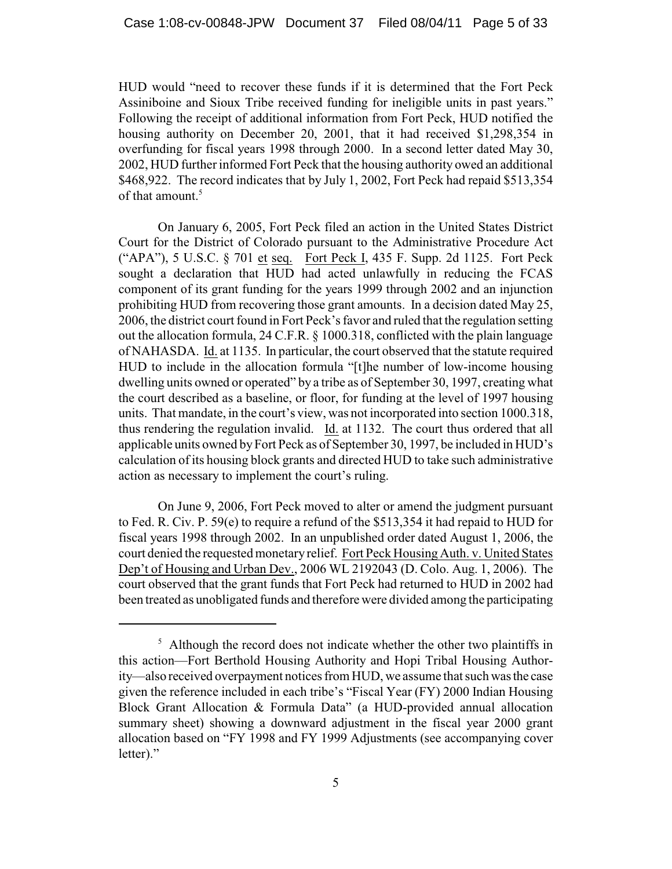HUD would "need to recover these funds if it is determined that the Fort Peck Assiniboine and Sioux Tribe received funding for ineligible units in past years." Following the receipt of additional information from Fort Peck, HUD notified the housing authority on December 20, 2001, that it had received \$1,298,354 in overfunding for fiscal years 1998 through 2000. In a second letter dated May 30, 2002, HUD furtherinformed Fort Peck that the housing authority owed an additional \$468,922. The record indicates that by July 1, 2002, Fort Peck had repaid \$513,354 of that amount.<sup>5</sup>

On January 6, 2005, Fort Peck filed an action in the United States District Court for the District of Colorado pursuant to the Administrative Procedure Act ("APA"), 5 U.S.C. § 701 et seq. Fort Peck I, 435 F. Supp. 2d 1125. Fort Peck sought a declaration that HUD had acted unlawfully in reducing the FCAS component of its grant funding for the years 1999 through 2002 and an injunction prohibiting HUD from recovering those grant amounts. In a decision dated May 25, 2006, the district court found in Fort Peck's favor and ruled that the regulation setting out the allocation formula, 24 C.F.R. § 1000.318, conflicted with the plain language of NAHASDA. Id. at 1135. In particular, the court observed that the statute required HUD to include in the allocation formula "[t]he number of low-income housing dwelling units owned or operated" by a tribe as of September 30, 1997, creating what the court described as a baseline, or floor, for funding at the level of 1997 housing units. That mandate, in the court's view, was not incorporated into section 1000.318, thus rendering the regulation invalid. Id. at 1132. The court thus ordered that all applicable units owned by Fort Peck as of September 30, 1997, be included in HUD's calculation of its housing block grants and directed HUD to take such administrative action as necessary to implement the court's ruling.

On June 9, 2006, Fort Peck moved to alter or amend the judgment pursuant to Fed. R. Civ. P. 59(e) to require a refund of the \$513,354 it had repaid to HUD for fiscal years 1998 through 2002. In an unpublished order dated August 1, 2006, the court denied the requested monetary relief. Fort Peck Housing Auth. v. United States Dep't of Housing and Urban Dev., 2006 WL 2192043 (D. Colo. Aug. 1, 2006). The court observed that the grant funds that Fort Peck had returned to HUD in 2002 had been treated as unobligated funds and therefore were divided among the participating

 $\frac{1}{2}$ . Although the record does not indicate whether the other two plaintiffs in this action—Fort Berthold Housing Authority and Hopi Tribal Housing Authority—also received overpayment notices from HUD, we assume that such was the case given the reference included in each tribe's "Fiscal Year (FY) 2000 Indian Housing Block Grant Allocation & Formula Data" (a HUD-provided annual allocation summary sheet) showing a downward adjustment in the fiscal year 2000 grant allocation based on "FY 1998 and FY 1999 Adjustments (see accompanying cover letter)."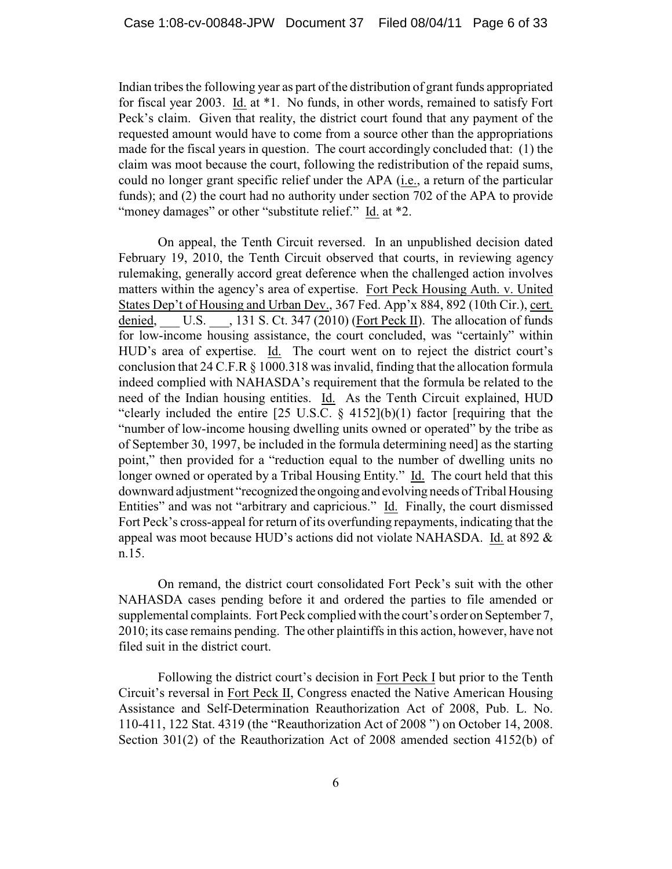Indian tribes the following year as part of the distribution of grant funds appropriated for fiscal year 2003. Id. at \*1. No funds, in other words, remained to satisfy Fort Peck's claim. Given that reality, the district court found that any payment of the requested amount would have to come from a source other than the appropriations made for the fiscal years in question. The court accordingly concluded that: (1) the claim was moot because the court, following the redistribution of the repaid sums, could no longer grant specific relief under the APA (i.e., a return of the particular funds); and (2) the court had no authority under section 702 of the APA to provide "money damages" or other "substitute relief." Id. at \*2.

On appeal, the Tenth Circuit reversed. In an unpublished decision dated February 19, 2010, the Tenth Circuit observed that courts, in reviewing agency rulemaking, generally accord great deference when the challenged action involves matters within the agency's area of expertise. Fort Peck Housing Auth. v. United States Dep't of Housing and Urban Dev., 367 Fed. App'x 884, 892 (10th Cir.), cert. denied, U.S. , 131 S. Ct. 347 (2010) (Fort Peck II). The allocation of funds for low-income housing assistance, the court concluded, was "certainly" within HUD's area of expertise. Id. The court went on to reject the district court's conclusion that 24 C.F.R § 1000.318 was invalid, finding that the allocation formula indeed complied with NAHASDA's requirement that the formula be related to the need of the Indian housing entities. Id. As the Tenth Circuit explained, HUD "clearly included the entire  $[25 \text{ U.S.C. } \frac{6}{9} \frac{4152}{10}$ (1) factor [requiring that the "number of low-income housing dwelling units owned or operated" by the tribe as of September 30, 1997, be included in the formula determining need] as the starting point," then provided for a "reduction equal to the number of dwelling units no longer owned or operated by a Tribal Housing Entity." Id. The court held that this downward adjustment "recognized the ongoing and evolving needs of Tribal Housing Entities" and was not "arbitrary and capricious." Id. Finally, the court dismissed Fort Peck's cross-appeal for return of its overfunding repayments, indicating that the appeal was moot because HUD's actions did not violate NAHASDA. Id. at 892 & n.15.

On remand, the district court consolidated Fort Peck's suit with the other NAHASDA cases pending before it and ordered the parties to file amended or supplemental complaints. Fort Peck complied with the court's order on September 7, 2010; its case remains pending. The other plaintiffs in this action, however, have not filed suit in the district court.

Following the district court's decision in Fort Peck I but prior to the Tenth Circuit's reversal in Fort Peck II, Congress enacted the Native American Housing Assistance and Self-Determination Reauthorization Act of 2008, Pub. L. No. 110-411, 122 Stat. 4319 (the "Reauthorization Act of 2008 ") on October 14, 2008. Section 301(2) of the Reauthorization Act of 2008 amended section 4152(b) of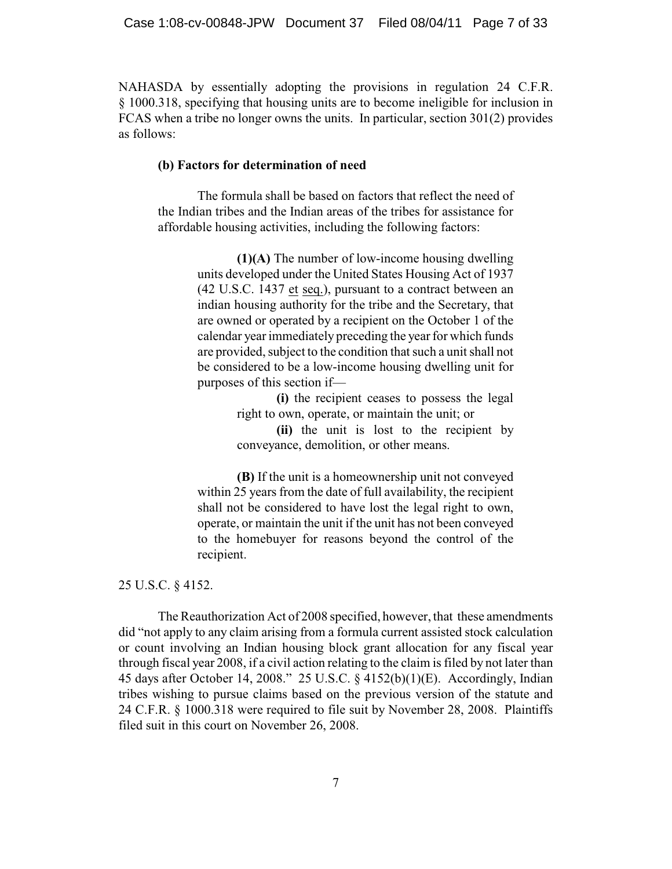NAHASDA by essentially adopting the provisions in regulation 24 C.F.R. § 1000.318, specifying that housing units are to become ineligible for inclusion in FCAS when a tribe no longer owns the units. In particular, section 301(2) provides as follows:

#### **(b) Factors for determination of need**

The formula shall be based on factors that reflect the need of the Indian tribes and the Indian areas of the tribes for assistance for affordable housing activities, including the following factors:

> **(1)(A)** The number of low-income housing dwelling units developed under the United States Housing Act of 1937 (42 U.S.C. 1437 et seq.), pursuant to a contract between an indian housing authority for the tribe and the Secretary, that are owned or operated by a recipient on the October 1 of the calendar year immediately preceding the year for which funds are provided, subject to the condition that such a unit shall not be considered to be a low-income housing dwelling unit for purposes of this section if—

> > **(i)** the recipient ceases to possess the legal right to own, operate, or maintain the unit; or

> > **(ii)** the unit is lost to the recipient by conveyance, demolition, or other means.

**(B)** If the unit is a homeownership unit not conveyed within 25 years from the date of full availability, the recipient shall not be considered to have lost the legal right to own, operate, or maintain the unit if the unit has not been conveyed to the homebuyer for reasons beyond the control of the recipient.

## 25 U.S.C. § 4152.

The Reauthorization Act of 2008 specified, however, that these amendments did "not apply to any claim arising from a formula current assisted stock calculation or count involving an Indian housing block grant allocation for any fiscal year through fiscal year 2008, if a civil action relating to the claim is filed by not later than 45 days after October 14, 2008." 25 U.S.C. § 4152(b)(1)(E). Accordingly, Indian tribes wishing to pursue claims based on the previous version of the statute and 24 C.F.R. § 1000.318 were required to file suit by November 28, 2008. Plaintiffs filed suit in this court on November 26, 2008.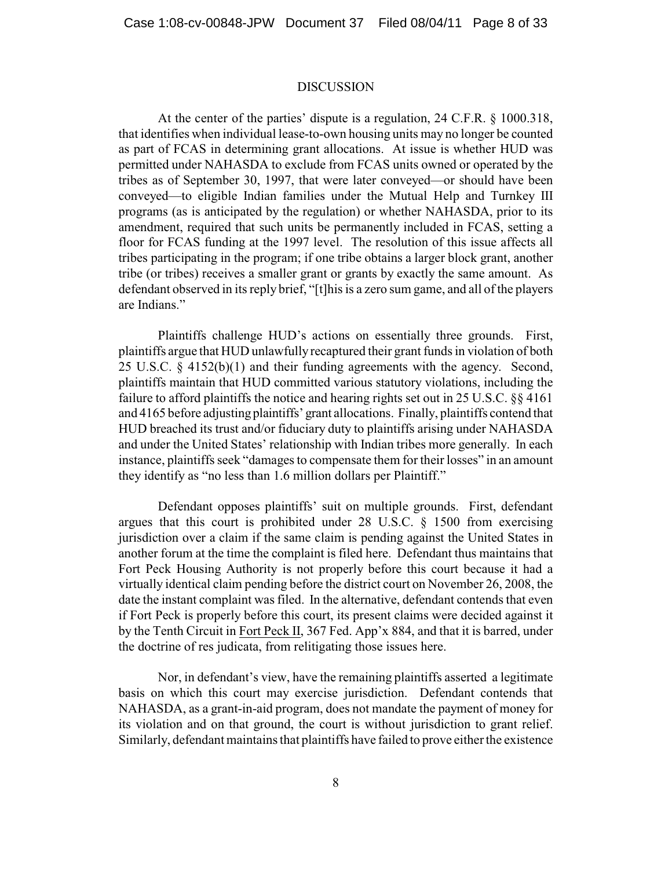#### DISCUSSION

At the center of the parties' dispute is a regulation, 24 C.F.R. § 1000.318, that identifies when individual lease-to-own housing units may no longer be counted as part of FCAS in determining grant allocations. At issue is whether HUD was permitted under NAHASDA to exclude from FCAS units owned or operated by the tribes as of September 30, 1997, that were later conveyed—or should have been conveyed—to eligible Indian families under the Mutual Help and Turnkey III programs (as is anticipated by the regulation) or whether NAHASDA, prior to its amendment, required that such units be permanently included in FCAS, setting a floor for FCAS funding at the 1997 level. The resolution of this issue affects all tribes participating in the program; if one tribe obtains a larger block grant, another tribe (or tribes) receives a smaller grant or grants by exactly the same amount. As defendant observed in its reply brief, "[t]his is a zero sum game, and all of the players are Indians."

Plaintiffs challenge HUD's actions on essentially three grounds. First, plaintiffs argue that HUD unlawfully recaptured their grant funds in violation of both 25 U.S.C. § 4152(b)(1) and their funding agreements with the agency. Second, plaintiffs maintain that HUD committed various statutory violations, including the failure to afford plaintiffs the notice and hearing rights set out in 25 U.S.C. §§ 4161 and 4165 before adjusting plaintiffs' grant allocations. Finally, plaintiffs contend that HUD breached its trust and/or fiduciary duty to plaintiffs arising under NAHASDA and under the United States' relationship with Indian tribes more generally. In each instance, plaintiffs seek "damages to compensate them for their losses" in an amount they identify as "no less than 1.6 million dollars per Plaintiff."

Defendant opposes plaintiffs' suit on multiple grounds. First, defendant argues that this court is prohibited under 28 U.S.C. § 1500 from exercising jurisdiction over a claim if the same claim is pending against the United States in another forum at the time the complaint is filed here. Defendant thus maintains that Fort Peck Housing Authority is not properly before this court because it had a virtually identical claim pending before the district court on November 26, 2008, the date the instant complaint was filed. In the alternative, defendant contends that even if Fort Peck is properly before this court, its present claims were decided against it by the Tenth Circuit in Fort Peck II, 367 Fed. App'x 884, and that it is barred, under the doctrine of res judicata, from relitigating those issues here.

Nor, in defendant's view, have the remaining plaintiffs asserted a legitimate basis on which this court may exercise jurisdiction. Defendant contends that NAHASDA, as a grant-in-aid program, does not mandate the payment of money for its violation and on that ground, the court is without jurisdiction to grant relief. Similarly, defendant maintains that plaintiffs have failed to prove either the existence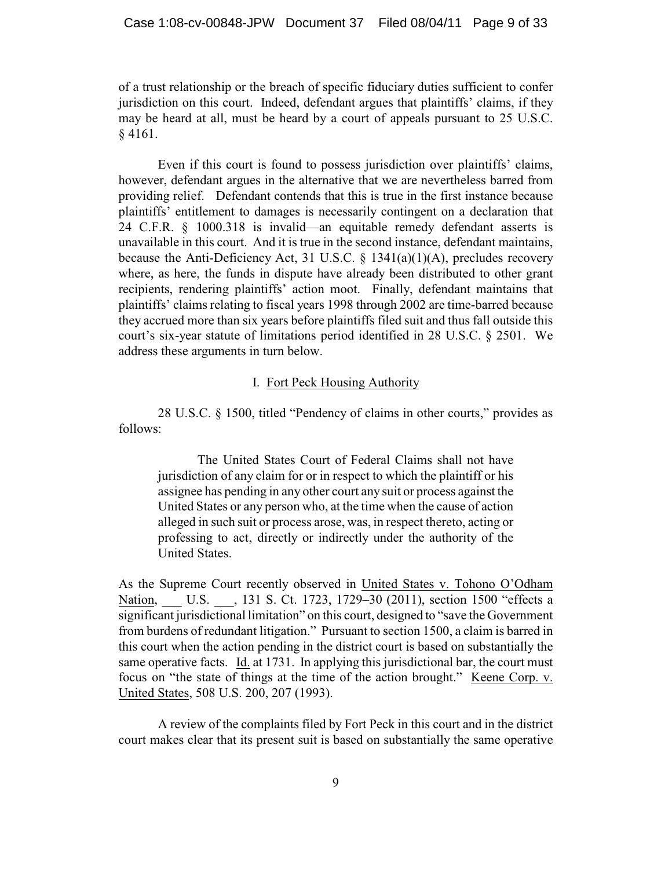of a trust relationship or the breach of specific fiduciary duties sufficient to confer jurisdiction on this court. Indeed, defendant argues that plaintiffs' claims, if they may be heard at all, must be heard by a court of appeals pursuant to 25 U.S.C. § 4161.

Even if this court is found to possess jurisdiction over plaintiffs' claims, however, defendant argues in the alternative that we are nevertheless barred from providing relief. Defendant contends that this is true in the first instance because plaintiffs' entitlement to damages is necessarily contingent on a declaration that 24 C.F.R. § 1000.318 is invalid—an equitable remedy defendant asserts is unavailable in this court. And it is true in the second instance, defendant maintains, because the Anti-Deficiency Act, 31 U.S.C.  $\S$  1341(a)(1)(A), precludes recovery where, as here, the funds in dispute have already been distributed to other grant recipients, rendering plaintiffs' action moot. Finally, defendant maintains that plaintiffs' claims relating to fiscal years 1998 through 2002 are time-barred because they accrued more than six years before plaintiffs filed suit and thus fall outside this court's six-year statute of limitations period identified in 28 U.S.C. § 2501. We address these arguments in turn below.

## I. Fort Peck Housing Authority

28 U.S.C. § 1500, titled "Pendency of claims in other courts," provides as follows:

The United States Court of Federal Claims shall not have jurisdiction of any claim for or in respect to which the plaintiff or his assignee has pending in any other court any suit or process against the United States or any person who, at the time when the cause of action alleged in such suit or process arose, was, in respect thereto, acting or professing to act, directly or indirectly under the authority of the United States.

As the Supreme Court recently observed in United States v. Tohono O'Odham Nation, U.S. , 131 S. Ct. 1723, 1729–30 (2011), section 1500 "effects a significant jurisdictional limitation" on this court, designed to "save the Government from burdens of redundant litigation." Pursuant to section 1500, a claim is barred in this court when the action pending in the district court is based on substantially the same operative facts. Id. at 1731. In applying this jurisdictional bar, the court must focus on "the state of things at the time of the action brought." Keene Corp. v. United States, 508 U.S. 200, 207 (1993).

A review of the complaints filed by Fort Peck in this court and in the district court makes clear that its present suit is based on substantially the same operative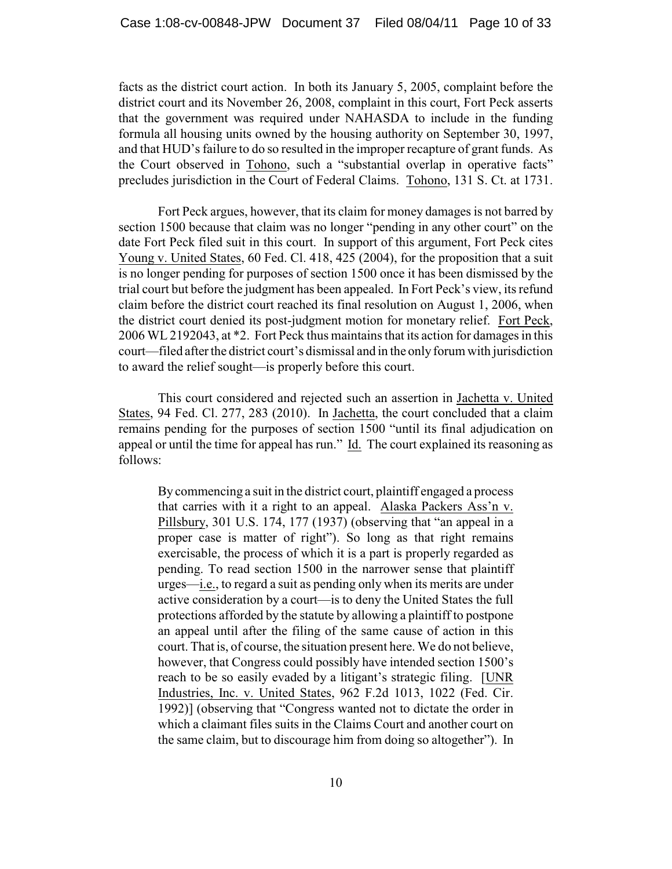facts as the district court action. In both its January 5, 2005, complaint before the district court and its November 26, 2008, complaint in this court, Fort Peck asserts that the government was required under NAHASDA to include in the funding formula all housing units owned by the housing authority on September 30, 1997, and that HUD's failure to do so resulted in the improper recapture of grant funds. As the Court observed in Tohono, such a "substantial overlap in operative facts" precludes jurisdiction in the Court of Federal Claims. Tohono, 131 S. Ct. at 1731.

Fort Peck argues, however, that its claim for money damages is not barred by section 1500 because that claim was no longer "pending in any other court" on the date Fort Peck filed suit in this court. In support of this argument, Fort Peck cites Young v. United States, 60 Fed. Cl. 418, 425 (2004), for the proposition that a suit is no longer pending for purposes of section 1500 once it has been dismissed by the trial court but before the judgment has been appealed. In Fort Peck's view, its refund claim before the district court reached its final resolution on August 1, 2006, when the district court denied its post-judgment motion for monetary relief. Fort Peck, 2006 WL 2192043, at \*2. Fort Peck thus maintains that its action for damages in this court—filed after the district court's dismissal and in the only forum with jurisdiction to award the relief sought—is properly before this court.

This court considered and rejected such an assertion in Jachetta v. United States, 94 Fed. Cl. 277, 283 (2010). In Jachetta, the court concluded that a claim remains pending for the purposes of section 1500 "until its final adjudication on appeal or until the time for appeal has run." Id. The court explained its reasoning as follows:

By commencing a suit in the district court, plaintiff engaged a process that carries with it a right to an appeal. Alaska Packers Ass'n v. Pillsbury, 301 U.S. 174, 177 (1937) (observing that "an appeal in a proper case is matter of right"). So long as that right remains exercisable, the process of which it is a part is properly regarded as pending. To read section 1500 in the narrower sense that plaintiff urges—i.e., to regard a suit as pending only when its merits are under active consideration by a court—is to deny the United States the full protections afforded by the statute by allowing a plaintiff to postpone an appeal until after the filing of the same cause of action in this court. That is, of course, the situation present here. We do not believe, however, that Congress could possibly have intended section 1500's reach to be so easily evaded by a litigant's strategic filing. [UNR Industries, Inc. v. United States, 962 F.2d 1013, 1022 (Fed. Cir. 1992)] (observing that "Congress wanted not to dictate the order in which a claimant files suits in the Claims Court and another court on the same claim, but to discourage him from doing so altogether"). In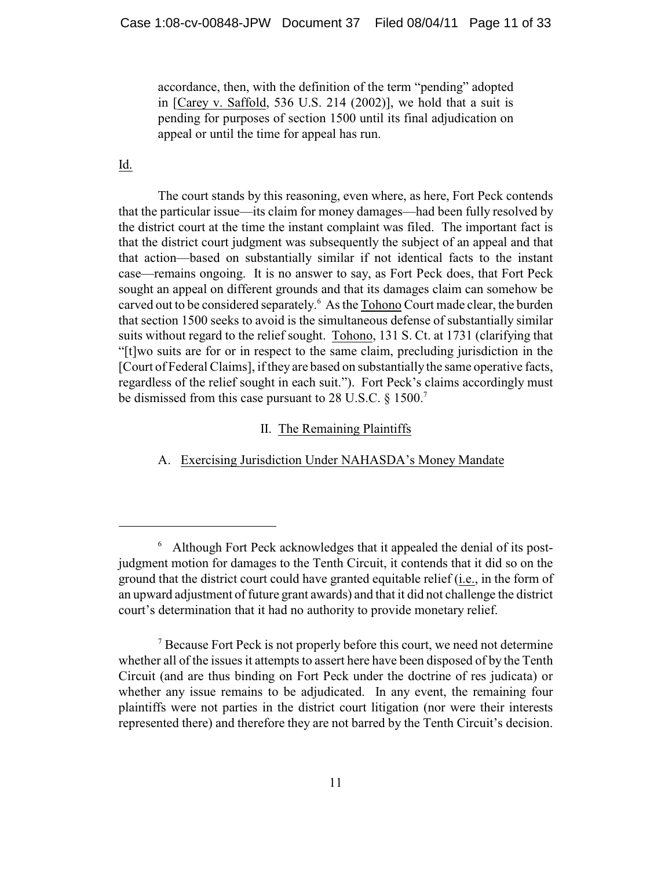accordance, then, with the definition of the term "pending" adopted in [Carey v. Saffold, 536 U.S. 214 (2002)], we hold that a suit is pending for purposes of section 1500 until its final adjudication on appeal or until the time for appeal has run.

## Id.

The court stands by this reasoning, even where, as here, Fort Peck contends that the particular issue—its claim for money damages—had been fully resolved by the district court at the time the instant complaint was filed. The important fact is that the district court judgment was subsequently the subject of an appeal and that that action—based on substantially similar if not identical facts to the instant case—remains ongoing. It is no answer to say, as Fort Peck does, that Fort Peck sought an appeal on different grounds and that its damages claim can somehow be carved out to be considered separately.<sup>6</sup> As the Tohono Court made clear, the burden that section 1500 seeks to avoid is the simultaneous defense of substantially similar suits without regard to the relief sought. Tohono, 131 S. Ct. at 1731 (clarifying that "[t]wo suits are for or in respect to the same claim, precluding jurisdiction in the [Court of Federal Claims], ifthey are based on substantially the same operative facts, regardless of the relief sought in each suit."). Fort Peck's claims accordingly must be dismissed from this case pursuant to 28 U.S.C. § 1500.<sup>7</sup>

## II. The Remaining Plaintiffs

A. Exercising Jurisdiction Under NAHASDA's Money Mandate

<sup>&</sup>lt;sup>6</sup> Although Fort Peck acknowledges that it appealed the denial of its postjudgment motion for damages to the Tenth Circuit, it contends that it did so on the ground that the district court could have granted equitable relief (i.e., in the form of an upward adjustment of future grant awards) and that it did not challenge the district court's determination that it had no authority to provide monetary relief.

<sup>&</sup>lt;sup>7</sup> Because Fort Peck is not properly before this court, we need not determine whether all of the issues it attempts to assert here have been disposed of by the Tenth Circuit (and are thus binding on Fort Peck under the doctrine of res judicata) or whether any issue remains to be adjudicated. In any event, the remaining four plaintiffs were not parties in the district court litigation (nor were their interests represented there) and therefore they are not barred by the Tenth Circuit's decision.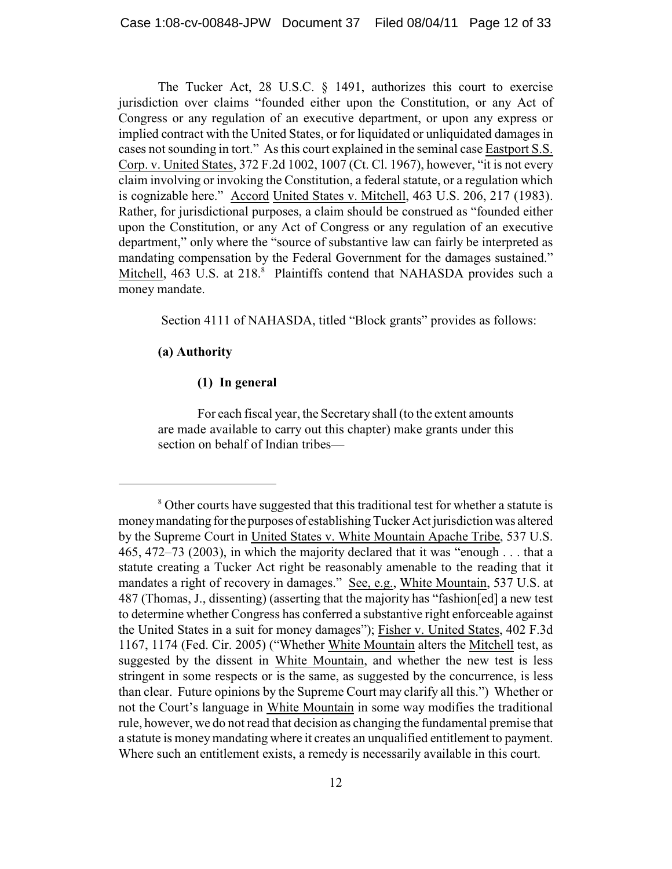The Tucker Act, 28 U.S.C. § 1491, authorizes this court to exercise jurisdiction over claims "founded either upon the Constitution, or any Act of Congress or any regulation of an executive department, or upon any express or implied contract with the United States, or for liquidated or unliquidated damages in cases not sounding in tort." As this court explained in the seminal case Eastport S.S. Corp. v. United States, 372 F.2d 1002, 1007 (Ct. Cl. 1967), however, "it is not every claim involving or invoking the Constitution, a federal statute, or a regulation which is cognizable here." Accord United States v. Mitchell, 463 U.S. 206, 217 (1983). Rather, for jurisdictional purposes, a claim should be construed as "founded either upon the Constitution, or any Act of Congress or any regulation of an executive department," only where the "source of substantive law can fairly be interpreted as mandating compensation by the Federal Government for the damages sustained." Mitchell, 463 U.S. at 218.<sup>8</sup> Plaintiffs contend that NAHASDA provides such a money mandate.

Section 4111 of NAHASDA, titled "Block grants" provides as follows:

## **(a) Authority**

## **(1) In general**

For each fiscal year, the Secretary shall (to the extent amounts are made available to carry out this chapter) make grants under this section on behalf of Indian tribes—

<sup>&</sup>lt;sup>8</sup> Other courts have suggested that this traditional test for whether a statute is money mandating for the purposes of establishing Tucker Act jurisdiction was altered by the Supreme Court in United States v. White Mountain Apache Tribe, 537 U.S. 465, 472–73 (2003), in which the majority declared that it was "enough . . . that a statute creating a Tucker Act right be reasonably amenable to the reading that it mandates a right of recovery in damages." See, e.g., White Mountain, 537 U.S. at 487 (Thomas, J., dissenting) (asserting that the majority has "fashion[ed] a new test to determine whether Congress has conferred a substantive right enforceable against the United States in a suit for money damages"); Fisher v. United States, 402 F.3d 1167, 1174 (Fed. Cir. 2005) ("Whether White Mountain alters the Mitchell test, as suggested by the dissent in White Mountain, and whether the new test is less stringent in some respects or is the same, as suggested by the concurrence, is less than clear. Future opinions by the Supreme Court may clarify all this.") Whether or not the Court's language in White Mountain in some way modifies the traditional rule, however, we do not read that decision as changing the fundamental premise that a statute is moneymandating where it creates an unqualified entitlement to payment. Where such an entitlement exists, a remedy is necessarily available in this court.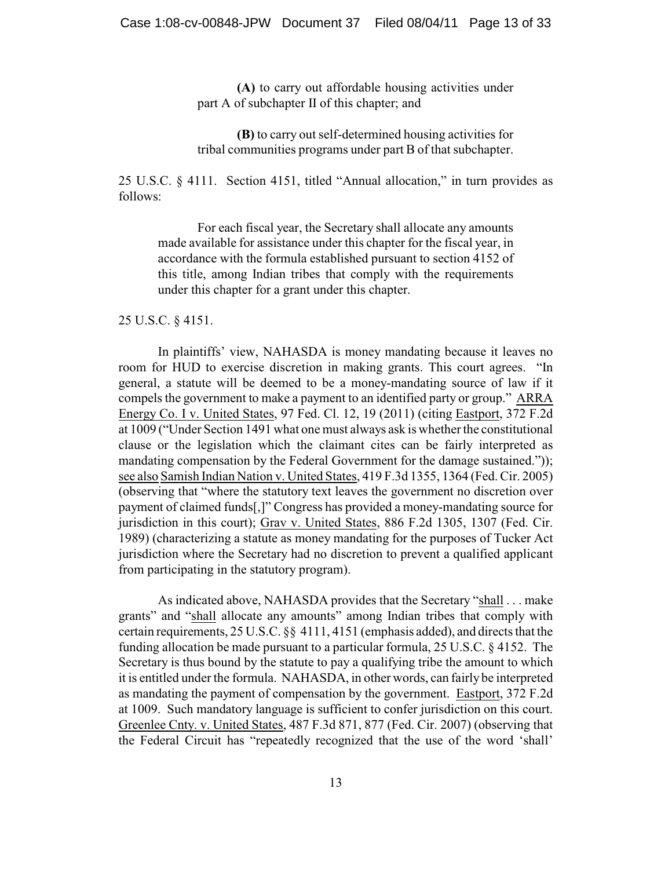**(A)** to carry out affordable housing activities under part A of subchapter II of this chapter; and

**(B)** to carry out self-determined housing activities for tribal communities programs under part B of that subchapter.

25 U.S.C. § 4111. Section 4151, titled "Annual allocation," in turn provides as follows:

For each fiscal year, the Secretary shall allocate any amounts made available for assistance under this chapter for the fiscal year, in accordance with the formula established pursuant to section 4152 of this title, among Indian tribes that comply with the requirements under this chapter for a grant under this chapter.

25 U.S.C. § 4151.

In plaintiffs' view, NAHASDA is money mandating because it leaves no room for HUD to exercise discretion in making grants. This court agrees. "In general, a statute will be deemed to be a money-mandating source of law if it compels the government to make a payment to an identified party or group." ARRA Energy Co. I v. United States, 97 Fed. Cl. 12, 19 (2011) (citing Eastport, 372 F.2d at 1009 ("Under Section 1491 what one must always ask is whether the constitutional clause or the legislation which the claimant cites can be fairly interpreted as mandating compensation by the Federal Government for the damage sustained.")); see also Samish Indian Nation v. United States, 419 F.3d 1355, 1364 (Fed. Cir. 2005) (observing that "where the statutory text leaves the government no discretion over payment of claimed funds[,]" Congress has provided a money-mandating source for jurisdiction in this court); Grav v. United States, 886 F.2d 1305, 1307 (Fed. Cir. 1989) (characterizing a statute as money mandating for the purposes of Tucker Act jurisdiction where the Secretary had no discretion to prevent a qualified applicant from participating in the statutory program).

As indicated above, NAHASDA provides that the Secretary "shall . . . make grants" and "shall allocate any amounts" among Indian tribes that comply with certain requirements, 25 U.S.C. §§ 4111, 4151 (emphasis added), and directs that the funding allocation be made pursuant to a particular formula, 25 U.S.C. § 4152. The Secretary is thus bound by the statute to pay a qualifying tribe the amount to which it is entitled under the formula. NAHASDA, in other words, can fairly be interpreted as mandating the payment of compensation by the government. Eastport, 372 F.2d at 1009. Such mandatory language is sufficient to confer jurisdiction on this court. Greenlee Cnty. v. United States, 487 F.3d 871, 877 (Fed. Cir. 2007) (observing that the Federal Circuit has "repeatedly recognized that the use of the word 'shall'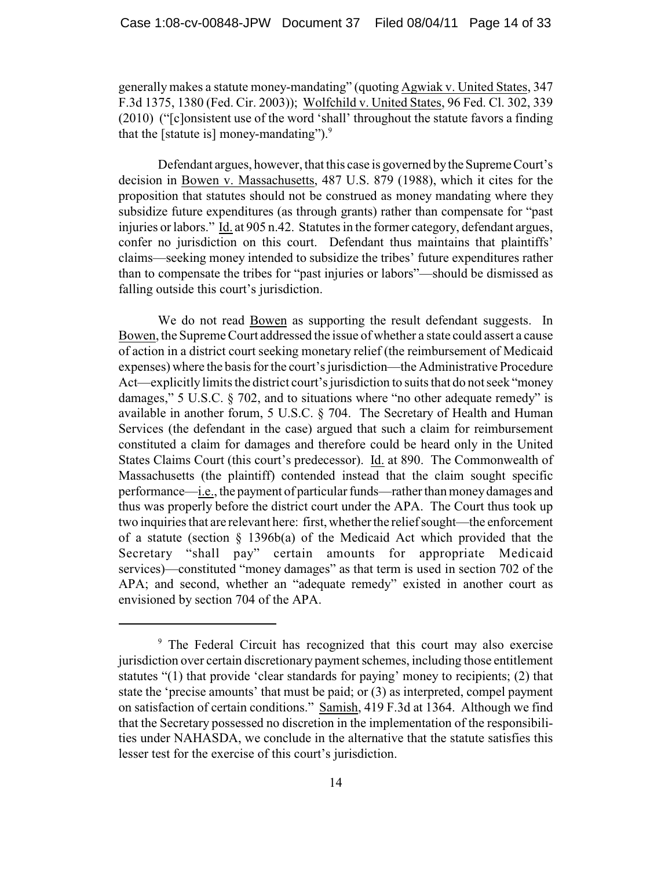generally makes a statute money-mandating" (quoting Agwiak v. United States, 347 F.3d 1375, 1380 (Fed. Cir. 2003)); Wolfchild v. United States, 96 Fed. Cl. 302, 339 (2010) ("[c]onsistent use of the word 'shall' throughout the statute favors a finding that the [statute is] money-mandating"). $9$ 

Defendant argues, however, that this case is governed by the Supreme Court's decision in Bowen v. Massachusetts, 487 U.S. 879 (1988), which it cites for the proposition that statutes should not be construed as money mandating where they subsidize future expenditures (as through grants) rather than compensate for "past injuries or labors." Id. at 905 n.42. Statutes in the former category, defendant argues, confer no jurisdiction on this court. Defendant thus maintains that plaintiffs' claims—seeking money intended to subsidize the tribes' future expenditures rather than to compensate the tribes for "past injuries or labors"—should be dismissed as falling outside this court's jurisdiction.

We do not read Bowen as supporting the result defendant suggests. In Bowen, the Supreme Court addressed the issue of whether a state could assert a cause of action in a district court seeking monetary relief (the reimbursement of Medicaid expenses) where the basis for the court's jurisdiction—the Administrative Procedure Act—explicitly limits the district court's jurisdiction to suits that do not seek "money damages," 5 U.S.C. § 702, and to situations where "no other adequate remedy" is available in another forum, 5 U.S.C. § 704. The Secretary of Health and Human Services (the defendant in the case) argued that such a claim for reimbursement constituted a claim for damages and therefore could be heard only in the United States Claims Court (this court's predecessor). Id. at 890. The Commonwealth of Massachusetts (the plaintiff) contended instead that the claim sought specific performance—i.e., the payment of particular funds—rather than money damages and thus was properly before the district court under the APA. The Court thus took up two inquiries that are relevant here: first, whether the relief sought—the enforcement of a statute (section § 1396b(a) of the Medicaid Act which provided that the Secretary "shall pay" certain amounts for appropriate Medicaid services)—constituted "money damages" as that term is used in section 702 of the APA; and second, whether an "adequate remedy" existed in another court as envisioned by section 704 of the APA.

<sup>&</sup>lt;sup>9</sup> The Federal Circuit has recognized that this court may also exercise jurisdiction over certain discretionary payment schemes, including those entitlement statutes "(1) that provide 'clear standards for paying' money to recipients; (2) that state the 'precise amounts' that must be paid; or (3) as interpreted, compel payment on satisfaction of certain conditions." Samish, 419 F.3d at 1364. Although we find that the Secretary possessed no discretion in the implementation of the responsibilities under NAHASDA, we conclude in the alternative that the statute satisfies this lesser test for the exercise of this court's jurisdiction.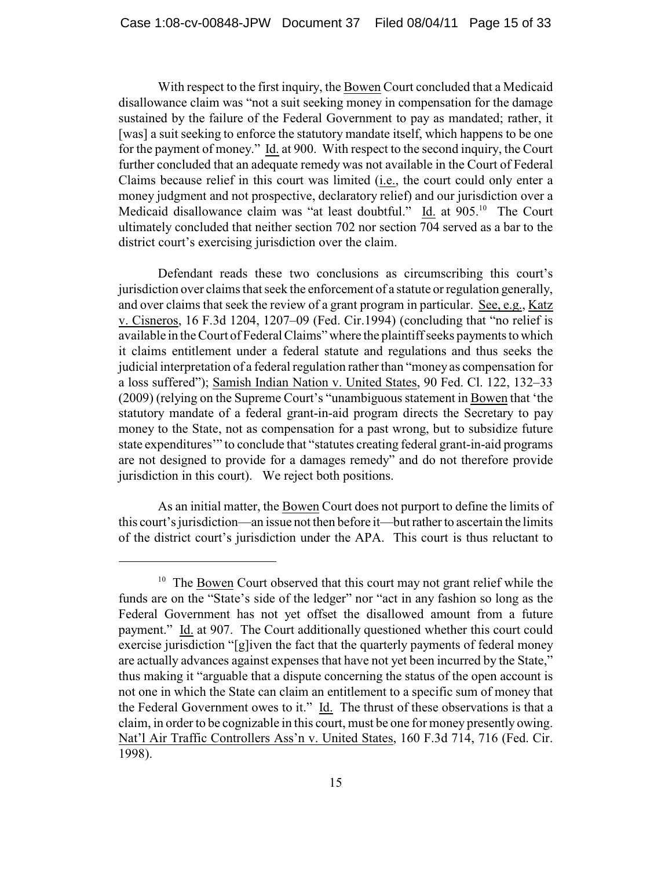With respect to the first inquiry, the Bowen Court concluded that a Medicaid disallowance claim was "not a suit seeking money in compensation for the damage sustained by the failure of the Federal Government to pay as mandated; rather, it [was] a suit seeking to enforce the statutory mandate itself, which happens to be one for the payment of money." Id. at 900. With respect to the second inquiry, the Court further concluded that an adequate remedy was not available in the Court of Federal Claims because relief in this court was limited (i.e., the court could only enter a money judgment and not prospective, declaratory relief) and our jurisdiction over a Medicaid disallowance claim was "at least doubtful." Id. at  $905$ .<sup>10</sup> The Court ultimately concluded that neither section 702 nor section 704 served as a bar to the district court's exercising jurisdiction over the claim.

Defendant reads these two conclusions as circumscribing this court's jurisdiction over claims that seek the enforcement of a statute or regulation generally, and over claims that seek the review of a grant program in particular. See, e.g., Katz v. Cisneros, 16 F.3d 1204, 1207–09 (Fed. Cir.1994) (concluding that "no relief is available in the Court of Federal Claims" where the plaintiff seeks payments to which it claims entitlement under a federal statute and regulations and thus seeks the judicial interpretation of a federal regulation rather than "money as compensation for a loss suffered"); Samish Indian Nation v. United States, 90 Fed. Cl. 122, 132–33 (2009) (relying on the Supreme Court's "unambiguous statement in Bowen that 'the statutory mandate of a federal grant-in-aid program directs the Secretary to pay money to the State, not as compensation for a past wrong, but to subsidize future state expenditures'" to conclude that "statutes creating federal grant-in-aid programs are not designed to provide for a damages remedy" and do not therefore provide jurisdiction in this court). We reject both positions.

As an initial matter, the Bowen Court does not purport to define the limits of this court's jurisdiction—an issue not then before it—but rather to ascertain the limits of the district court's jurisdiction under the APA. This court is thus reluctant to

 $10$  The Bowen Court observed that this court may not grant relief while the funds are on the "State's side of the ledger" nor "act in any fashion so long as the Federal Government has not yet offset the disallowed amount from a future payment." Id. at 907. The Court additionally questioned whether this court could exercise jurisdiction "[g]iven the fact that the quarterly payments of federal money are actually advances against expenses that have not yet been incurred by the State," thus making it "arguable that a dispute concerning the status of the open account is not one in which the State can claim an entitlement to a specific sum of money that the Federal Government owes to it." Id. The thrust of these observations is that a claim, in order to be cognizable in this court, must be one for money presently owing. Nat'l Air Traffic Controllers Ass'n v. United States, 160 F.3d 714, 716 (Fed. Cir. 1998).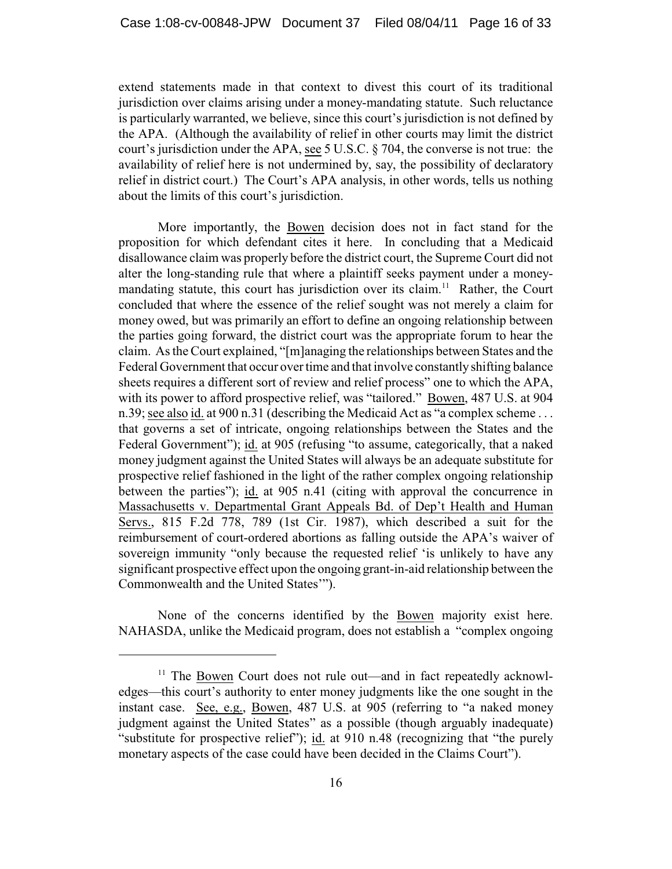extend statements made in that context to divest this court of its traditional jurisdiction over claims arising under a money-mandating statute. Such reluctance is particularly warranted, we believe, since this court's jurisdiction is not defined by the APA. (Although the availability of relief in other courts may limit the district court's jurisdiction under the APA, see 5 U.S.C. § 704, the converse is not true: the availability of relief here is not undermined by, say, the possibility of declaratory relief in district court.) The Court's APA analysis, in other words, tells us nothing about the limits of this court's jurisdiction.

More importantly, the Bowen decision does not in fact stand for the proposition for which defendant cites it here. In concluding that a Medicaid disallowance claim was properly before the district court, the Supreme Court did not alter the long-standing rule that where a plaintiff seeks payment under a moneymandating statute, this court has jurisdiction over its claim.<sup>11</sup> Rather, the Court concluded that where the essence of the relief sought was not merely a claim for money owed, but was primarily an effort to define an ongoing relationship between the parties going forward, the district court was the appropriate forum to hear the claim. As the Court explained, "[m]anaging the relationships between States and the Federal Government that occur over time and that involve constantly shifting balance sheets requires a different sort of review and relief process" one to which the APA, with its power to afford prospective relief, was "tailored." Bowen, 487 U.S. at 904 n.39; see also id. at 900 n.31 (describing the Medicaid Act as "a complex scheme . . . that governs a set of intricate, ongoing relationships between the States and the Federal Government"); id. at 905 (refusing "to assume, categorically, that a naked money judgment against the United States will always be an adequate substitute for prospective relief fashioned in the light of the rather complex ongoing relationship between the parties"); id. at 905 n.41 (citing with approval the concurrence in Massachusetts v. Departmental Grant Appeals Bd. of Dep't Health and Human Servs., 815 F.2d 778, 789 (1st Cir. 1987), which described a suit for the reimbursement of court-ordered abortions as falling outside the APA's waiver of sovereign immunity "only because the requested relief 'is unlikely to have any significant prospective effect upon the ongoing grant-in-aid relationship between the Commonwealth and the United States'").

None of the concerns identified by the Bowen majority exist here. NAHASDA, unlike the Medicaid program, does not establish a "complex ongoing

 $11$  The Bowen Court does not rule out—and in fact repeatedly acknowledges—this court's authority to enter money judgments like the one sought in the instant case. See, e.g., Bowen, 487 U.S. at 905 (referring to "a naked money judgment against the United States" as a possible (though arguably inadequate) "substitute for prospective relief"); id. at 910 n.48 (recognizing that "the purely monetary aspects of the case could have been decided in the Claims Court").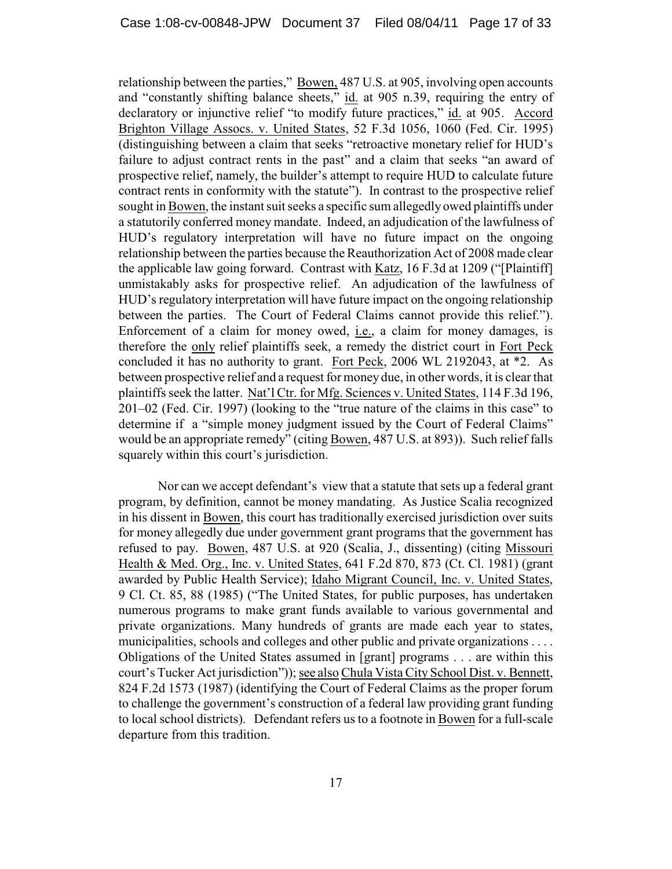relationship between the parties," Bowen, 487 U.S. at 905, involving open accounts and "constantly shifting balance sheets," id. at 905 n.39, requiring the entry of declaratory or injunctive relief "to modify future practices," id. at 905. Accord Brighton Village Assocs. v. United States, 52 F.3d 1056, 1060 (Fed. Cir. 1995) (distinguishing between a claim that seeks "retroactive monetary relief for HUD's failure to adjust contract rents in the past" and a claim that seeks "an award of prospective relief, namely, the builder's attempt to require HUD to calculate future contract rents in conformity with the statute"). In contrast to the prospective relief sought in Bowen, the instant suit seeks a specific sum allegedly owed plaintiffs under a statutorily conferred money mandate. Indeed, an adjudication of the lawfulness of HUD's regulatory interpretation will have no future impact on the ongoing relationship between the parties because the Reauthorization Act of 2008 made clear the applicable law going forward. Contrast with Katz, 16 F.3d at 1209 ("[Plaintiff] unmistakably asks for prospective relief. An adjudication of the lawfulness of HUD's regulatory interpretation will have future impact on the ongoing relationship between the parties. The Court of Federal Claims cannot provide this relief."). Enforcement of a claim for money owed, i.e., a claim for money damages, is therefore the only relief plaintiffs seek, a remedy the district court in Fort Peck concluded it has no authority to grant. Fort Peck, 2006 WL 2192043, at \*2. As between prospective relief and a request for money due, in other words, it is clear that plaintiffs seek the latter. Nat'l Ctr. for Mfg. Sciences v. United States, 114 F.3d 196, 201–02 (Fed. Cir. 1997) (looking to the "true nature of the claims in this case" to determine if a "simple money judgment issued by the Court of Federal Claims" would be an appropriate remedy" (citing Bowen, 487 U.S. at 893)). Such relief falls squarely within this court's jurisdiction.

Nor can we accept defendant's view that a statute that sets up a federal grant program, by definition, cannot be money mandating. As Justice Scalia recognized in his dissent in Bowen, this court has traditionally exercised jurisdiction over suits for money allegedly due under government grant programs that the government has refused to pay. Bowen, 487 U.S. at 920 (Scalia, J., dissenting) (citing Missouri Health & Med. Org., Inc. v. United States, 641 F.2d 870, 873 (Ct. Cl. 1981) (grant awarded by Public Health Service); Idaho Migrant Council, Inc. v. United States, 9 Cl. Ct. 85, 88 (1985) ("The United States, for public purposes, has undertaken numerous programs to make grant funds available to various governmental and private organizations. Many hundreds of grants are made each year to states, municipalities, schools and colleges and other public and private organizations . . . . Obligations of the United States assumed in [grant] programs . . . are within this court's Tucker Act jurisdiction")); see also Chula Vista City School Dist. v. Bennett, 824 F.2d 1573 (1987) (identifying the Court of Federal Claims as the proper forum to challenge the government's construction of a federal law providing grant funding to local school districts). Defendant refers us to a footnote in Bowen for a full-scale departure from this tradition.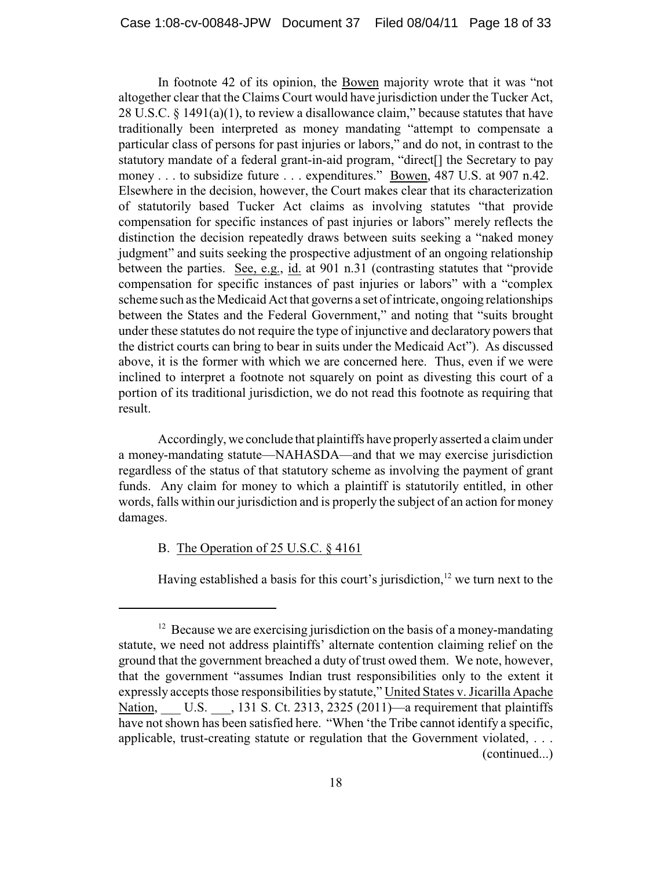In footnote 42 of its opinion, the Bowen majority wrote that it was "not altogether clear that the Claims Court would have jurisdiction under the Tucker Act, 28 U.S.C.  $\S$  1491(a)(1), to review a disallowance claim," because statutes that have traditionally been interpreted as money mandating "attempt to compensate a particular class of persons for past injuries or labors," and do not, in contrast to the statutory mandate of a federal grant-in-aid program, "direct[] the Secretary to pay money . . . to subsidize future . . . expenditures." Bowen, 487 U.S. at 907 n.42. Elsewhere in the decision, however, the Court makes clear that its characterization of statutorily based Tucker Act claims as involving statutes "that provide compensation for specific instances of past injuries or labors" merely reflects the distinction the decision repeatedly draws between suits seeking a "naked money judgment" and suits seeking the prospective adjustment of an ongoing relationship between the parties. See, e.g., id. at 901 n.31 (contrasting statutes that "provide compensation for specific instances of past injuries or labors" with a "complex scheme such as the Medicaid Act that governs a set of intricate, ongoing relationships between the States and the Federal Government," and noting that "suits brought under these statutes do not require the type of injunctive and declaratory powers that the district courts can bring to bear in suits under the Medicaid Act"). As discussed above, it is the former with which we are concerned here. Thus, even if we were inclined to interpret a footnote not squarely on point as divesting this court of a portion of its traditional jurisdiction, we do not read this footnote as requiring that result.

Accordingly, we conclude that plaintiffs have properly asserted a claim under a money-mandating statute—NAHASDA—and that we may exercise jurisdiction regardless of the status of that statutory scheme as involving the payment of grant funds. Any claim for money to which a plaintiff is statutorily entitled, in other words, falls within our jurisdiction and is properly the subject of an action for money damages.

## B. The Operation of 25 U.S.C. § 4161

Having established a basis for this court's jurisdiction,  $12$  we turn next to the

 $12$  Because we are exercising jurisdiction on the basis of a money-mandating statute, we need not address plaintiffs' alternate contention claiming relief on the ground that the government breached a duty of trust owed them. We note, however, that the government "assumes Indian trust responsibilities only to the extent it expressly accepts those responsibilities by statute," United States v. Jicarilla Apache Nation, U.S. , 131 S. Ct. 2313, 2325 (2011)—a requirement that plaintiffs have not shown has been satisfied here. "When 'the Tribe cannot identify a specific, applicable, trust-creating statute or regulation that the Government violated, . . . (continued...)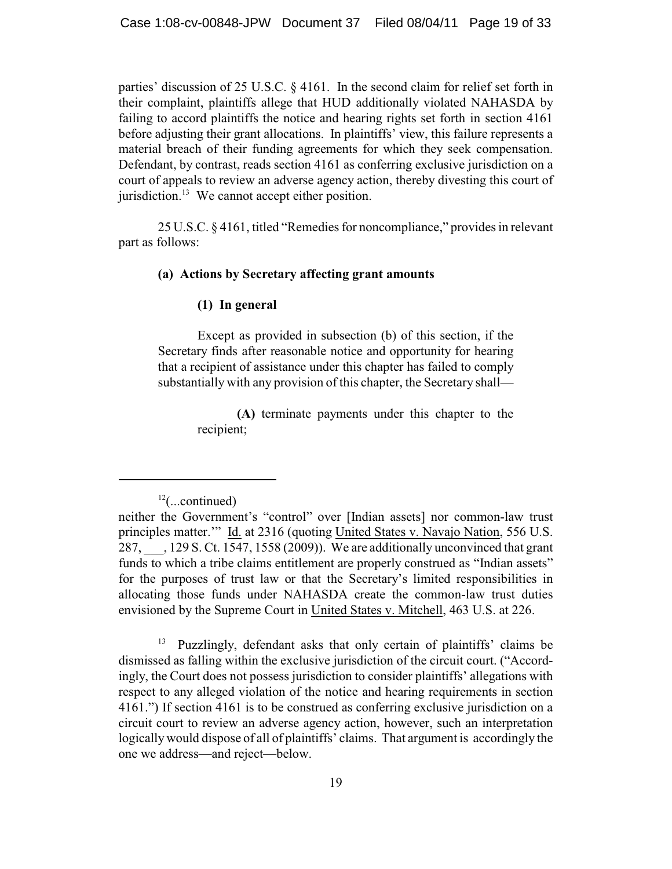parties' discussion of 25 U.S.C. § 4161. In the second claim for relief set forth in their complaint, plaintiffs allege that HUD additionally violated NAHASDA by failing to accord plaintiffs the notice and hearing rights set forth in section 4161 before adjusting their grant allocations. In plaintiffs' view, this failure represents a material breach of their funding agreements for which they seek compensation. Defendant, by contrast, reads section 4161 as conferring exclusive jurisdiction on a court of appeals to review an adverse agency action, thereby divesting this court of jurisdiction. $^{13}$  We cannot accept either position.

25 U.S.C. § 4161, titled "Remedies for noncompliance," provides in relevant part as follows:

## **(a) Actions by Secretary affecting grant amounts**

## **(1) In general**

Except as provided in subsection (b) of this section, if the Secretary finds after reasonable notice and opportunity for hearing that a recipient of assistance under this chapter has failed to comply substantially with any provision of this chapter, the Secretary shall—

> **(A)** terminate payments under this chapter to the recipient;

Puzzlingly, defendant asks that only certain of plaintiffs' claims be dismissed as falling within the exclusive jurisdiction of the circuit court. ("Accordingly, the Court does not possess jurisdiction to consider plaintiffs' allegations with respect to any alleged violation of the notice and hearing requirements in section 4161.") If section 4161 is to be construed as conferring exclusive jurisdiction on a circuit court to review an adverse agency action, however, such an interpretation logically would dispose of all of plaintiffs' claims. That argument is accordingly the one we address—and reject—below.

 $12$ (...continued)

neither the Government's "control" over [Indian assets] nor common-law trust principles matter.'" Id. at 2316 (quoting United States v. Navajo Nation, 556 U.S. 287, \_\_\_, 129 S. Ct. 1547, 1558 (2009)). We are additionally unconvinced that grant funds to which a tribe claims entitlement are properly construed as "Indian assets" for the purposes of trust law or that the Secretary's limited responsibilities in allocating those funds under NAHASDA create the common-law trust duties envisioned by the Supreme Court in United States v. Mitchell, 463 U.S. at 226.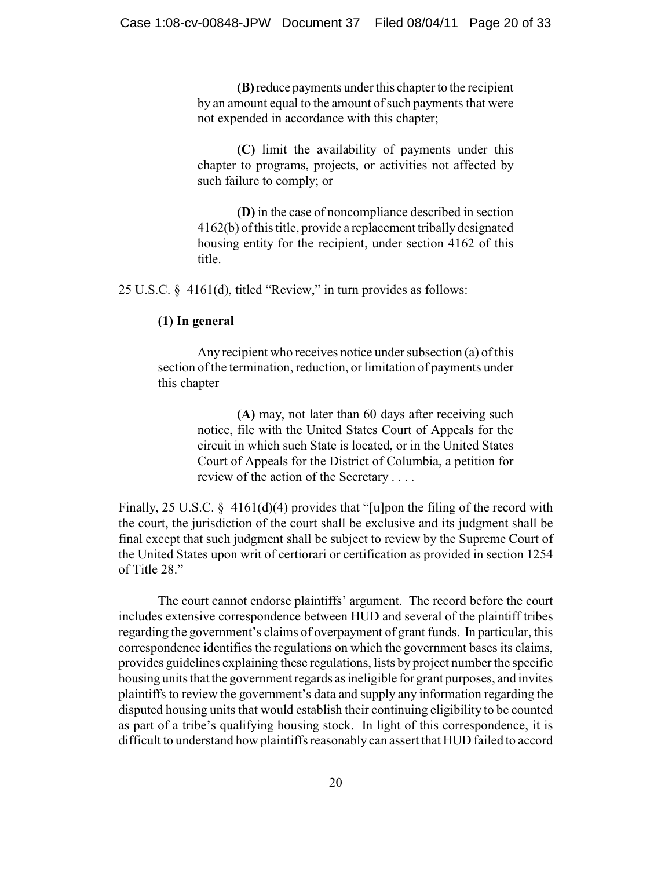**(B)** reduce payments under this chapter to the recipient by an amount equal to the amount of such payments that were not expended in accordance with this chapter;

**(C)** limit the availability of payments under this chapter to programs, projects, or activities not affected by such failure to comply; or

**(D)** in the case of noncompliance described in section 4162(b) of this title, provide a replacement tribally designated housing entity for the recipient, under section 4162 of this title.

25 U.S.C. § 4161(d), titled "Review," in turn provides as follows:

## **(1) In general**

Any recipient who receives notice under subsection (a) of this section of the termination, reduction, or limitation of payments under this chapter—

> **(A)** may, not later than 60 days after receiving such notice, file with the United States Court of Appeals for the circuit in which such State is located, or in the United States Court of Appeals for the District of Columbia, a petition for review of the action of the Secretary . . . .

Finally, 25 U.S.C.  $\S$  4161(d)(4) provides that "[u]pon the filing of the record with the court, the jurisdiction of the court shall be exclusive and its judgment shall be final except that such judgment shall be subject to review by the Supreme Court of the United States upon writ of certiorari or certification as provided in section 1254 of Title 28."

The court cannot endorse plaintiffs' argument. The record before the court includes extensive correspondence between HUD and several of the plaintiff tribes regarding the government's claims of overpayment of grant funds. In particular, this correspondence identifies the regulations on which the government bases its claims, provides guidelines explaining these regulations, lists by project number the specific housing units that the government regards as ineligible for grant purposes, and invites plaintiffs to review the government's data and supply any information regarding the disputed housing units that would establish their continuing eligibility to be counted as part of a tribe's qualifying housing stock. In light of this correspondence, it is difficult to understand how plaintiffs reasonably can assert that HUD failed to accord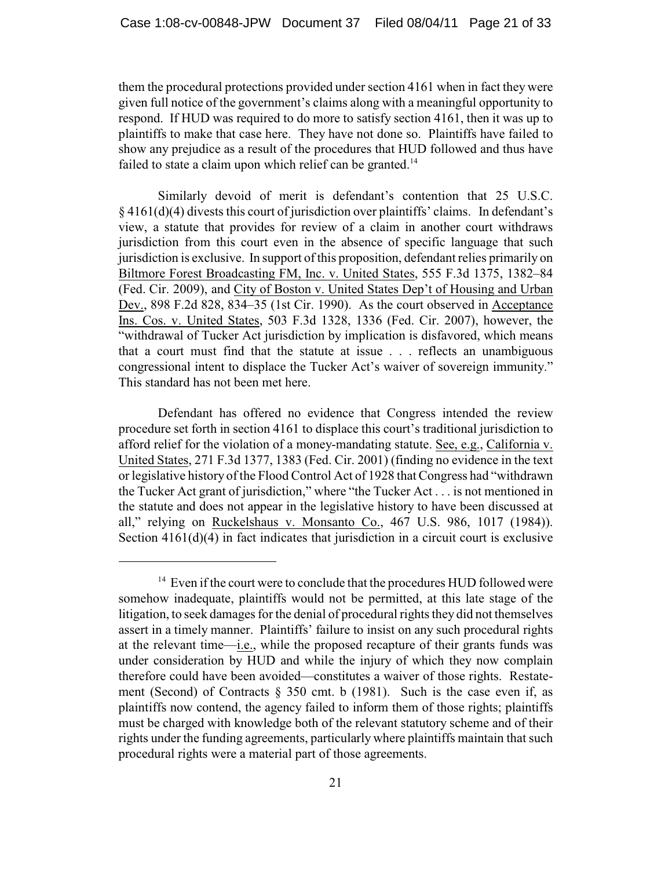them the procedural protections provided under section 4161 when in fact they were given full notice of the government's claims along with a meaningful opportunity to respond. If HUD was required to do more to satisfy section 4161, then it was up to plaintiffs to make that case here. They have not done so. Plaintiffs have failed to show any prejudice as a result of the procedures that HUD followed and thus have failed to state a claim upon which relief can be granted.<sup>14</sup>

Similarly devoid of merit is defendant's contention that 25 U.S.C. § 4161(d)(4) divests this court of jurisdiction over plaintiffs' claims. In defendant's view, a statute that provides for review of a claim in another court withdraws jurisdiction from this court even in the absence of specific language that such jurisdiction is exclusive. In support of this proposition, defendant relies primarily on Biltmore Forest Broadcasting FM, Inc. v. United States, 555 F.3d 1375, 1382–84 (Fed. Cir. 2009), and City of Boston v. United States Dep't of Housing and Urban Dev., 898 F.2d 828, 834–35 (1st Cir. 1990). As the court observed in Acceptance Ins. Cos. v. United States, 503 F.3d 1328, 1336 (Fed. Cir. 2007), however, the "withdrawal of Tucker Act jurisdiction by implication is disfavored, which means that a court must find that the statute at issue . . . reflects an unambiguous congressional intent to displace the Tucker Act's waiver of sovereign immunity." This standard has not been met here.

Defendant has offered no evidence that Congress intended the review procedure set forth in section 4161 to displace this court's traditional jurisdiction to afford relief for the violation of a money-mandating statute. See, e.g., California v. United States, 271 F.3d 1377, 1383 (Fed. Cir. 2001) (finding no evidence in the text or legislative history of the Flood Control Act of 1928 that Congress had "withdrawn the Tucker Act grant of jurisdiction," where "the Tucker Act . . . is not mentioned in the statute and does not appear in the legislative history to have been discussed at all," relying on Ruckelshaus v. Monsanto Co., 467 U.S. 986, 1017 (1984)). Section 4161(d)(4) in fact indicates that jurisdiction in a circuit court is exclusive

 $14$  Even if the court were to conclude that the procedures HUD followed were somehow inadequate, plaintiffs would not be permitted, at this late stage of the litigation, to seek damages for the denial of procedural rights they did not themselves assert in a timely manner. Plaintiffs' failure to insist on any such procedural rights at the relevant time—i.e., while the proposed recapture of their grants funds was under consideration by HUD and while the injury of which they now complain therefore could have been avoided—constitutes a waiver of those rights. Restatement (Second) of Contracts  $\S$  350 cmt. b (1981). Such is the case even if, as plaintiffs now contend, the agency failed to inform them of those rights; plaintiffs must be charged with knowledge both of the relevant statutory scheme and of their rights under the funding agreements, particularly where plaintiffs maintain that such procedural rights were a material part of those agreements.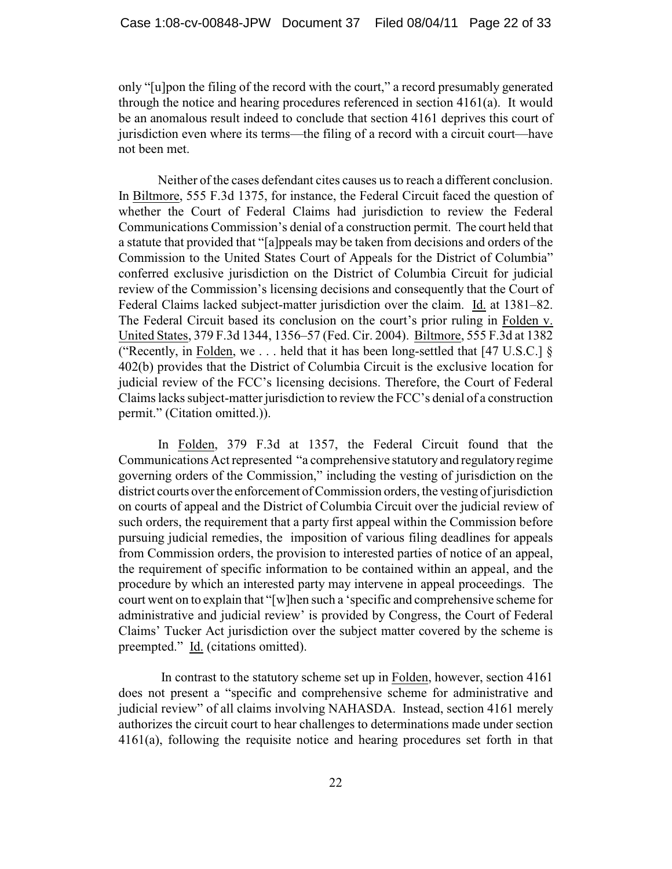only "[u]pon the filing of the record with the court," a record presumably generated through the notice and hearing procedures referenced in section 4161(a). It would be an anomalous result indeed to conclude that section 4161 deprives this court of jurisdiction even where its terms—the filing of a record with a circuit court—have not been met.

Neither of the cases defendant cites causes us to reach a different conclusion. In Biltmore, 555 F.3d 1375, for instance, the Federal Circuit faced the question of whether the Court of Federal Claims had jurisdiction to review the Federal Communications Commission's denial of a construction permit. The court held that a statute that provided that "[a]ppeals may be taken from decisions and orders of the Commission to the United States Court of Appeals for the District of Columbia" conferred exclusive jurisdiction on the District of Columbia Circuit for judicial review of the Commission's licensing decisions and consequently that the Court of Federal Claims lacked subject-matter jurisdiction over the claim. Id. at 1381–82. The Federal Circuit based its conclusion on the court's prior ruling in Folden v. United States, 379 F.3d 1344, 1356–57 (Fed. Cir. 2004). Biltmore, 555 F.3d at 1382 ("Recently, in Folden, we... held that it has been long-settled that [47 U.S.C.]  $\S$ 402(b) provides that the District of Columbia Circuit is the exclusive location for judicial review of the FCC's licensing decisions. Therefore, the Court of Federal Claims lacks subject-matter jurisdiction to review the FCC's denial of a construction permit." (Citation omitted.)).

In Folden, 379 F.3d at 1357, the Federal Circuit found that the Communications Act represented "a comprehensive statutory and regulatory regime governing orders of the Commission," including the vesting of jurisdiction on the district courts over the enforcement of Commission orders, the vesting of jurisdiction on courts of appeal and the District of Columbia Circuit over the judicial review of such orders, the requirement that a party first appeal within the Commission before pursuing judicial remedies, the imposition of various filing deadlines for appeals from Commission orders, the provision to interested parties of notice of an appeal, the requirement of specific information to be contained within an appeal, and the procedure by which an interested party may intervene in appeal proceedings. The court went on to explain that "[w]hen such a 'specific and comprehensive scheme for administrative and judicial review' is provided by Congress, the Court of Federal Claims' Tucker Act jurisdiction over the subject matter covered by the scheme is preempted." Id. (citations omitted).

 In contrast to the statutory scheme set up in Folden, however, section 4161 does not present a "specific and comprehensive scheme for administrative and judicial review" of all claims involving NAHASDA. Instead, section 4161 merely authorizes the circuit court to hear challenges to determinations made under section 4161(a), following the requisite notice and hearing procedures set forth in that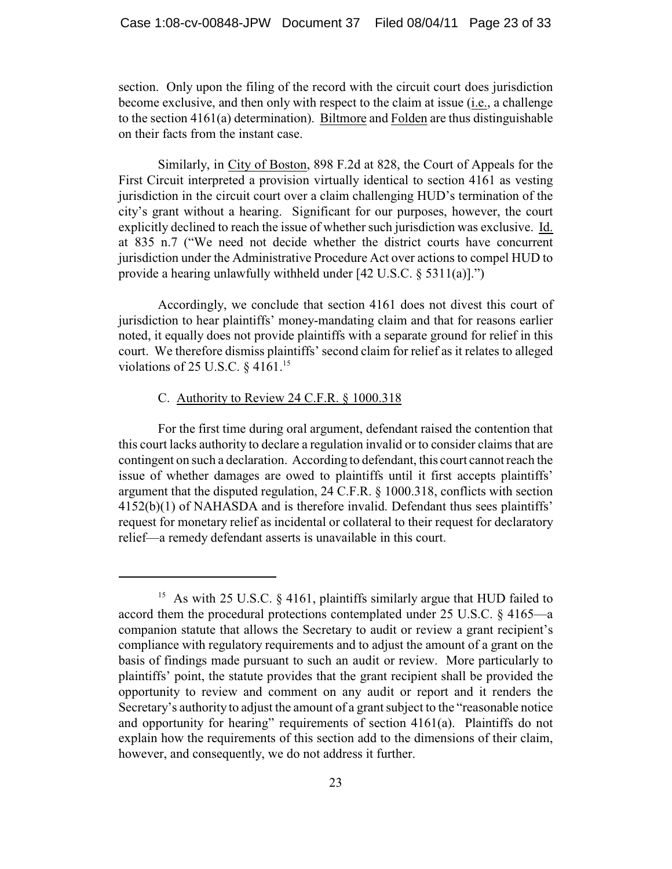section. Only upon the filing of the record with the circuit court does jurisdiction become exclusive, and then only with respect to the claim at issue (i.e., a challenge to the section 4161(a) determination). Biltmore and Folden are thus distinguishable on their facts from the instant case.

Similarly, in City of Boston, 898 F.2d at 828, the Court of Appeals for the First Circuit interpreted a provision virtually identical to section 4161 as vesting jurisdiction in the circuit court over a claim challenging HUD's termination of the city's grant without a hearing. Significant for our purposes, however, the court explicitly declined to reach the issue of whether such jurisdiction was exclusive. Id. at 835 n.7 ("We need not decide whether the district courts have concurrent jurisdiction under the Administrative Procedure Act over actions to compel HUD to provide a hearing unlawfully withheld under [42 U.S.C. § 5311(a)].")

Accordingly, we conclude that section 4161 does not divest this court of jurisdiction to hear plaintiffs' money-mandating claim and that for reasons earlier noted, it equally does not provide plaintiffs with a separate ground for relief in this court. We therefore dismiss plaintiffs' second claim for relief as it relates to alleged violations of 25 U.S.C.  $\S$  4161.<sup>15</sup>

## C. Authority to Review 24 C.F.R. § 1000.318

For the first time during oral argument, defendant raised the contention that this court lacks authority to declare a regulation invalid or to consider claims that are contingent on such a declaration. According to defendant, this court cannot reach the issue of whether damages are owed to plaintiffs until it first accepts plaintiffs' argument that the disputed regulation, 24 C.F.R. § 1000.318, conflicts with section 4152(b)(1) of NAHASDA and is therefore invalid. Defendant thus sees plaintiffs' request for monetary relief as incidental or collateral to their request for declaratory relief—a remedy defendant asserts is unavailable in this court.

<sup>&</sup>lt;sup>15</sup> As with 25 U.S.C.  $\frac{6}{16}$  4161, plaintiffs similarly argue that HUD failed to accord them the procedural protections contemplated under 25 U.S.C. § 4165—a companion statute that allows the Secretary to audit or review a grant recipient's compliance with regulatory requirements and to adjust the amount of a grant on the basis of findings made pursuant to such an audit or review. More particularly to plaintiffs' point, the statute provides that the grant recipient shall be provided the opportunity to review and comment on any audit or report and it renders the Secretary's authority to adjust the amount of a grant subject to the "reasonable notice and opportunity for hearing" requirements of section 4161(a). Plaintiffs do not explain how the requirements of this section add to the dimensions of their claim, however, and consequently, we do not address it further.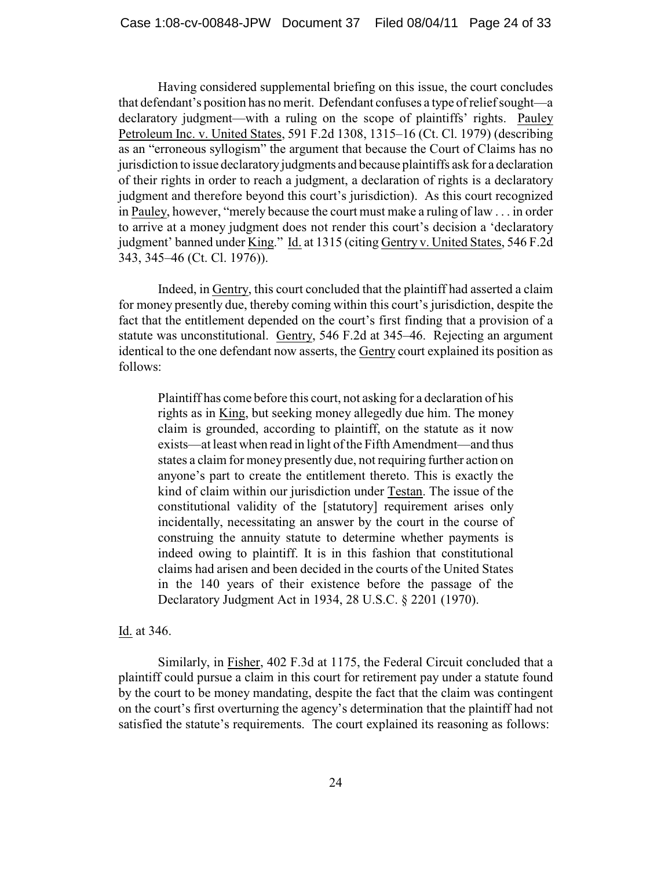Having considered supplemental briefing on this issue, the court concludes that defendant's position has no merit. Defendant confuses a type of relief sought—a declaratory judgment—with a ruling on the scope of plaintiffs' rights. Pauley Petroleum Inc. v. United States, 591 F.2d 1308, 1315–16 (Ct. Cl. 1979) (describing as an "erroneous syllogism" the argument that because the Court of Claims has no jurisdiction to issue declaratory judgments and because plaintiffs ask for a declaration of their rights in order to reach a judgment, a declaration of rights is a declaratory judgment and therefore beyond this court's jurisdiction). As this court recognized in Pauley, however, "merely because the court must make a ruling of law . . . in order to arrive at a money judgment does not render this court's decision a 'declaratory judgment' banned under King." Id. at 1315 (citing Gentry v. United States, 546 F.2d 343, 345–46 (Ct. Cl. 1976)).

Indeed, in Gentry, this court concluded that the plaintiff had asserted a claim for money presently due, thereby coming within this court's jurisdiction, despite the fact that the entitlement depended on the court's first finding that a provision of a statute was unconstitutional. Gentry, 546 F.2d at 345–46. Rejecting an argument identical to the one defendant now asserts, the Gentry court explained its position as follows:

Plaintiff has come before this court, not asking for a declaration of his rights as in King, but seeking money allegedly due him. The money claim is grounded, according to plaintiff, on the statute as it now exists—at least when read in light of the Fifth Amendment—and thus states a claim for money presently due, not requiring further action on anyone's part to create the entitlement thereto. This is exactly the kind of claim within our jurisdiction under Testan. The issue of the constitutional validity of the [statutory] requirement arises only incidentally, necessitating an answer by the court in the course of construing the annuity statute to determine whether payments is indeed owing to plaintiff. It is in this fashion that constitutional claims had arisen and been decided in the courts of the United States in the 140 years of their existence before the passage of the Declaratory Judgment Act in 1934, 28 U.S.C. § 2201 (1970).

#### Id. at 346.

Similarly, in Fisher, 402 F.3d at 1175, the Federal Circuit concluded that a plaintiff could pursue a claim in this court for retirement pay under a statute found by the court to be money mandating, despite the fact that the claim was contingent on the court's first overturning the agency's determination that the plaintiff had not satisfied the statute's requirements. The court explained its reasoning as follows: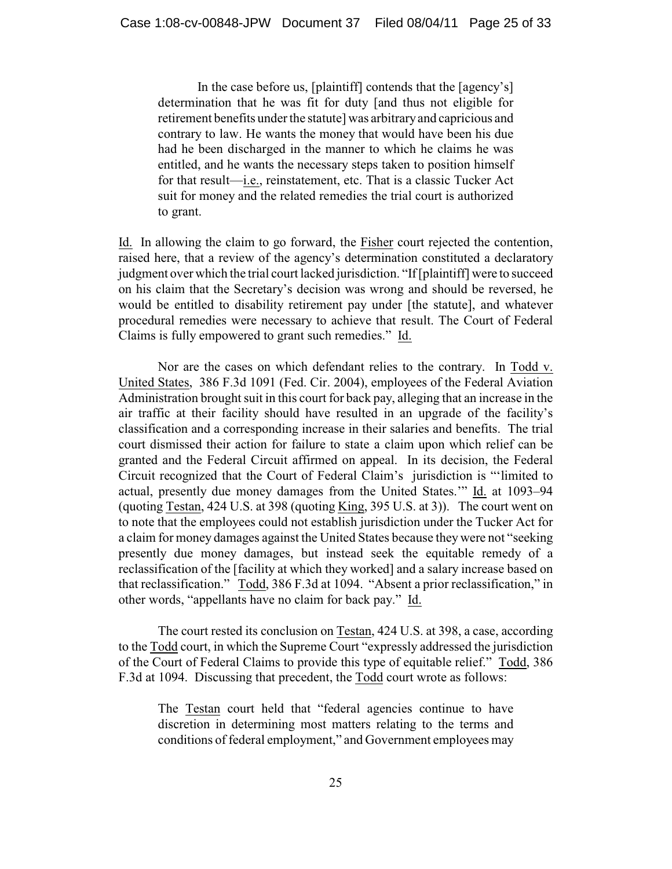In the case before us, [plaintiff] contends that the [agency's] determination that he was fit for duty [and thus not eligible for retirement benefits under the statute] was arbitrary and capricious and contrary to law. He wants the money that would have been his due had he been discharged in the manner to which he claims he was entitled, and he wants the necessary steps taken to position himself for that result—i.e., reinstatement, etc. That is a classic Tucker Act suit for money and the related remedies the trial court is authorized to grant.

Id. In allowing the claim to go forward, the Fisher court rejected the contention, raised here, that a review of the agency's determination constituted a declaratory judgment over which the trial court lacked jurisdiction. "If [plaintiff] were to succeed on his claim that the Secretary's decision was wrong and should be reversed, he would be entitled to disability retirement pay under [the statute], and whatever procedural remedies were necessary to achieve that result. The Court of Federal Claims is fully empowered to grant such remedies." Id.

Nor are the cases on which defendant relies to the contrary. In Todd v. United States, 386 F.3d 1091 (Fed. Cir. 2004), employees of the Federal Aviation Administration brought suit in this court for back pay, alleging that an increase in the air traffic at their facility should have resulted in an upgrade of the facility's classification and a corresponding increase in their salaries and benefits. The trial court dismissed their action for failure to state a claim upon which relief can be granted and the Federal Circuit affirmed on appeal. In its decision, the Federal Circuit recognized that the Court of Federal Claim's jurisdiction is "'limited to actual, presently due money damages from the United States.'" Id. at 1093–94 (quoting Testan, 424 U.S. at 398 (quoting King, 395 U.S. at 3)). The court went on to note that the employees could not establish jurisdiction under the Tucker Act for a claim for money damages against the United States because they were not "seeking presently due money damages, but instead seek the equitable remedy of a reclassification of the [facility at which they worked] and a salary increase based on that reclassification." Todd, 386 F.3d at 1094. "Absent a prior reclassification," in other words, "appellants have no claim for back pay." Id.

The court rested its conclusion on Testan, 424 U.S. at 398, a case, according to the Todd court, in which the Supreme Court "expressly addressed the jurisdiction of the Court of Federal Claims to provide this type of equitable relief." Todd, 386 F.3d at 1094. Discussing that precedent, the Todd court wrote as follows:

The Testan court held that "federal agencies continue to have discretion in determining most matters relating to the terms and conditions of federal employment," and Government employees may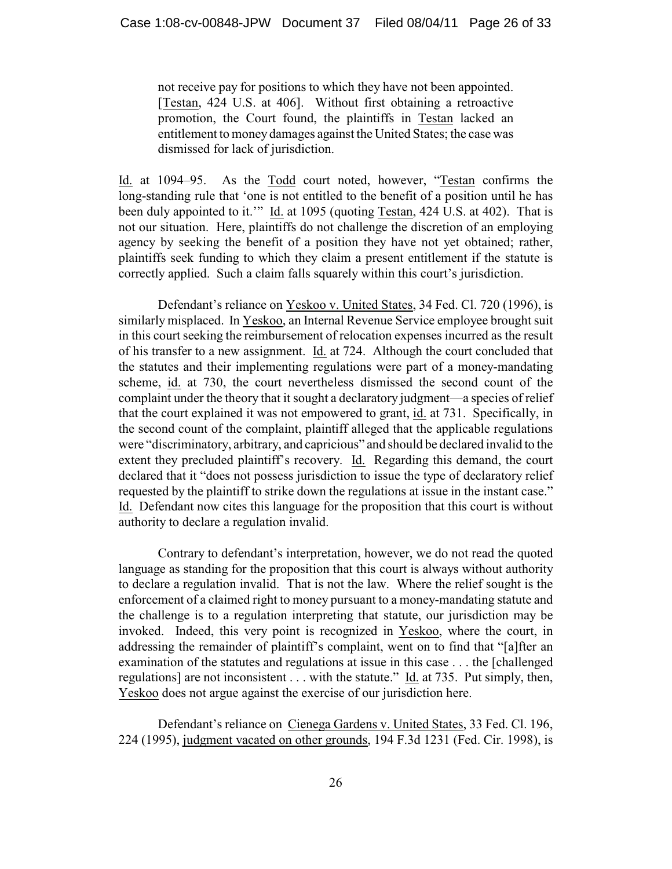not receive pay for positions to which they have not been appointed. [Testan, 424 U.S. at 406]. Without first obtaining a retroactive promotion, the Court found, the plaintiffs in Testan lacked an entitlement to money damages against the United States; the case was dismissed for lack of jurisdiction.

Id. at 1094–95. As the Todd court noted, however, "Testan confirms the long-standing rule that 'one is not entitled to the benefit of a position until he has been duly appointed to it.'" Id. at 1095 (quoting Testan, 424 U.S. at 402). That is not our situation. Here, plaintiffs do not challenge the discretion of an employing agency by seeking the benefit of a position they have not yet obtained; rather, plaintiffs seek funding to which they claim a present entitlement if the statute is correctly applied. Such a claim falls squarely within this court's jurisdiction.

Defendant's reliance on Yeskoo v. United States, 34 Fed. Cl. 720 (1996), is similarly misplaced. In Yeskoo, an Internal Revenue Service employee brought suit in this court seeking the reimbursement of relocation expenses incurred as the result of his transfer to a new assignment. Id. at 724. Although the court concluded that the statutes and their implementing regulations were part of a money-mandating scheme, id. at 730, the court nevertheless dismissed the second count of the complaint under the theory that it sought a declaratory judgment—a species of relief that the court explained it was not empowered to grant, id. at 731. Specifically, in the second count of the complaint, plaintiff alleged that the applicable regulations were "discriminatory, arbitrary, and capricious" and should be declared invalid to the extent they precluded plaintiff's recovery. Id. Regarding this demand, the court declared that it "does not possess jurisdiction to issue the type of declaratory relief requested by the plaintiff to strike down the regulations at issue in the instant case." Id. Defendant now cites this language for the proposition that this court is without authority to declare a regulation invalid.

Contrary to defendant's interpretation, however, we do not read the quoted language as standing for the proposition that this court is always without authority to declare a regulation invalid. That is not the law. Where the relief sought is the enforcement of a claimed right to money pursuant to a money-mandating statute and the challenge is to a regulation interpreting that statute, our jurisdiction may be invoked. Indeed, this very point is recognized in Yeskoo, where the court, in addressing the remainder of plaintiff's complaint, went on to find that "[a]fter an examination of the statutes and regulations at issue in this case . . . the [challenged regulations] are not inconsistent . . . with the statute." Id. at 735. Put simply, then, Yeskoo does not argue against the exercise of our jurisdiction here.

Defendant's reliance on Cienega Gardens v. United States, 33 Fed. Cl. 196, 224 (1995), judgment vacated on other grounds, 194 F.3d 1231 (Fed. Cir. 1998), is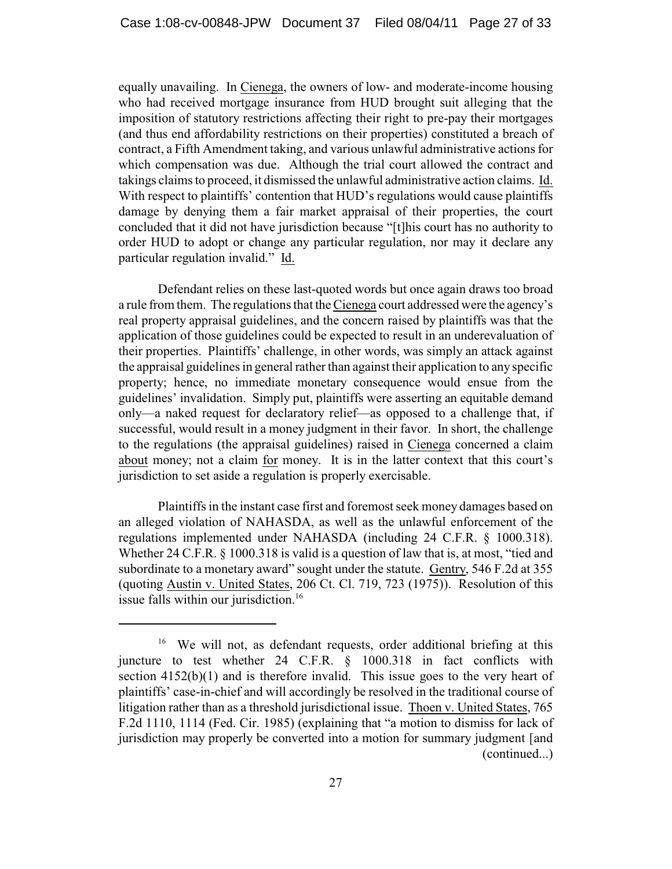equally unavailing. In Cienega, the owners of low- and moderate-income housing who had received mortgage insurance from HUD brought suit alleging that the imposition of statutory restrictions affecting their right to pre-pay their mortgages (and thus end affordability restrictions on their properties) constituted a breach of contract, a Fifth Amendment taking, and various unlawful administrative actions for which compensation was due. Although the trial court allowed the contract and takings claims to proceed, it dismissed the unlawful administrative action claims. Id. With respect to plaintiffs' contention that HUD's regulations would cause plaintiffs damage by denying them a fair market appraisal of their properties, the court concluded that it did not have jurisdiction because "[t]his court has no authority to order HUD to adopt or change any particular regulation, nor may it declare any particular regulation invalid." Id.

Defendant relies on these last-quoted words but once again draws too broad a rule from them. The regulations that the Cienega court addressed were the agency's real property appraisal guidelines, and the concern raised by plaintiffs was that the application of those guidelines could be expected to result in an underevaluation of their properties. Plaintiffs' challenge, in other words, was simply an attack against the appraisal guidelines in general rather than against their application to any specific property; hence, no immediate monetary consequence would ensue from the guidelines' invalidation. Simply put, plaintiffs were asserting an equitable demand only—a naked request for declaratory relief—as opposed to a challenge that, if successful, would result in a money judgment in their favor. In short, the challenge to the regulations (the appraisal guidelines) raised in Cienega concerned a claim about money; not a claim for money. It is in the latter context that this court's jurisdiction to set aside a regulation is properly exercisable.

Plaintiffs in the instant case first and foremost seek money damages based on an alleged violation of NAHASDA, as well as the unlawful enforcement of the regulations implemented under NAHASDA (including 24 C.F.R. § 1000.318). Whether 24 C.F.R. § 1000.318 is valid is a question of law that is, at most, "tied and subordinate to a monetary award" sought under the statute. Gentry, 546 F.2d at 355 (quoting Austin v. United States, 206 Ct. Cl. 719, 723 (1975)). Resolution of this issue falls within our jurisdiction.<sup>16</sup>

<sup>&</sup>lt;sup>16</sup> We will not, as defendant requests, order additional briefing at this juncture to test whether 24 C.F.R. § 1000.318 in fact conflicts with section 4152(b)(1) and is therefore invalid. This issue goes to the very heart of plaintiffs' case-in-chief and will accordingly be resolved in the traditional course of litigation rather than as a threshold jurisdictional issue. Thoen v. United States, 765 F.2d 1110, 1114 (Fed. Cir. 1985) (explaining that "a motion to dismiss for lack of jurisdiction may properly be converted into a motion for summary judgment [and (continued...)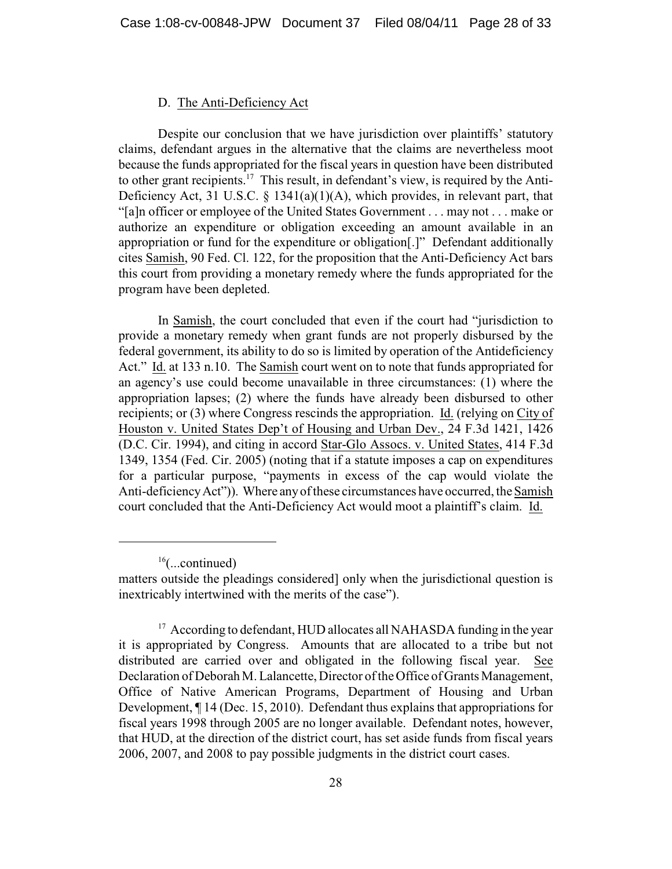#### D. The Anti-Deficiency Act

Despite our conclusion that we have jurisdiction over plaintiffs' statutory claims, defendant argues in the alternative that the claims are nevertheless moot because the funds appropriated for the fiscal years in question have been distributed to other grant recipients.<sup>17</sup> This result, in defendant's view, is required by the Anti-Deficiency Act, 31 U.S.C.  $\S$  1341(a)(1)(A), which provides, in relevant part, that "[a]n officer or employee of the United States Government . . . may not . . . make or authorize an expenditure or obligation exceeding an amount available in an appropriation or fund for the expenditure or obligation[.]" Defendant additionally cites Samish, 90 Fed. Cl. 122, for the proposition that the Anti-Deficiency Act bars this court from providing a monetary remedy where the funds appropriated for the program have been depleted.

In Samish, the court concluded that even if the court had "jurisdiction to provide a monetary remedy when grant funds are not properly disbursed by the federal government, its ability to do so is limited by operation of the Antideficiency Act." Id. at 133 n.10. The Samish court went on to note that funds appropriated for an agency's use could become unavailable in three circumstances: (1) where the appropriation lapses; (2) where the funds have already been disbursed to other recipients; or (3) where Congress rescinds the appropriation. Id. (relying on City of Houston v. United States Dep't of Housing and Urban Dev., 24 F.3d 1421, 1426 (D.C. Cir. 1994), and citing in accord Star-Glo Assocs. v. United States, 414 F.3d 1349, 1354 (Fed. Cir. 2005) (noting that if a statute imposes a cap on expenditures for a particular purpose, "payments in excess of the cap would violate the Anti-deficiency Act")). Where any of these circumstances have occurred, the Samish court concluded that the Anti-Deficiency Act would moot a plaintiff's claim. Id.

 $16$ (...continued)

matters outside the pleadings considered] only when the jurisdictional question is inextricably intertwined with the merits of the case").

<sup>&</sup>lt;sup>17</sup> According to defendant, HUD allocates all NAHASDA funding in the year it is appropriated by Congress. Amounts that are allocated to a tribe but not distributed are carried over and obligated in the following fiscal year. See Declaration of Deborah M. Lalancette, Director of the Office of Grants Management, Office of Native American Programs, Department of Housing and Urban Development, ¶ 14 (Dec. 15, 2010). Defendant thus explains that appropriations for fiscal years 1998 through 2005 are no longer available. Defendant notes, however, that HUD, at the direction of the district court, has set aside funds from fiscal years 2006, 2007, and 2008 to pay possible judgments in the district court cases.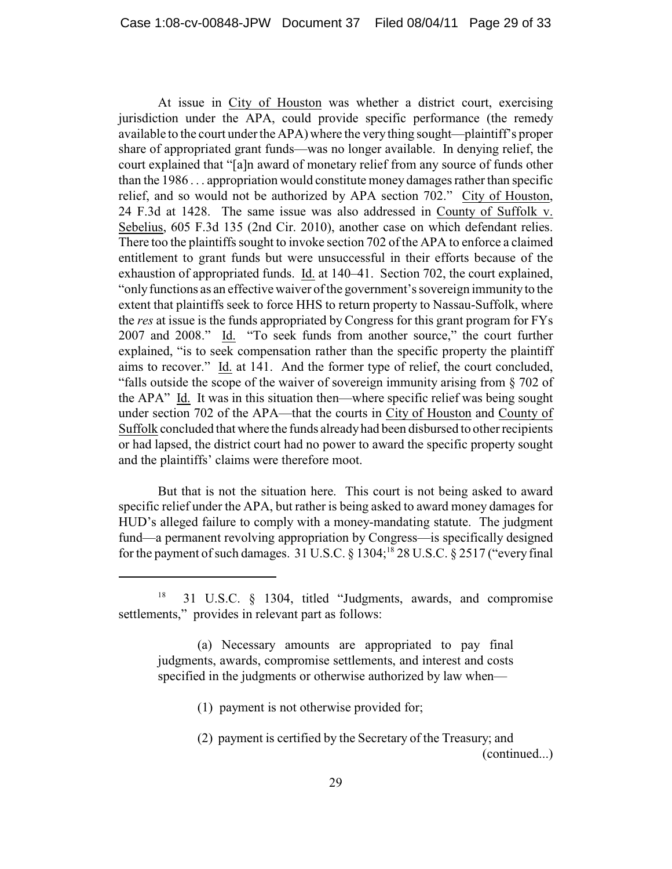At issue in City of Houston was whether a district court, exercising jurisdiction under the APA, could provide specific performance (the remedy available to the court under the APA) where the very thing sought—plaintiff's proper share of appropriated grant funds—was no longer available. In denying relief, the court explained that "[a]n award of monetary relief from any source of funds other than the 1986 . . . appropriation would constitute money damages rather than specific relief, and so would not be authorized by APA section 702." City of Houston, 24 F.3d at 1428. The same issue was also addressed in County of Suffolk v. Sebelius, 605 F.3d 135 (2nd Cir. 2010), another case on which defendant relies. There too the plaintiffs sought to invoke section 702 of the APA to enforce a claimed entitlement to grant funds but were unsuccessful in their efforts because of the exhaustion of appropriated funds. Id. at 140–41. Section 702, the court explained, "only functions as an effective waiver of the government's sovereign immunity to the extent that plaintiffs seek to force HHS to return property to Nassau-Suffolk, where the *res* at issue is the funds appropriated by Congress for this grant program for FYs 2007 and 2008." Id. "To seek funds from another source," the court further explained, "is to seek compensation rather than the specific property the plaintiff aims to recover." Id. at 141. And the former type of relief, the court concluded, "falls outside the scope of the waiver of sovereign immunity arising from § 702 of the APA" Id. It was in this situation then—where specific relief was being sought under section 702 of the APA—that the courts in City of Houston and County of Suffolk concluded that where the funds already had been disbursed to other recipients or had lapsed, the district court had no power to award the specific property sought and the plaintiffs' claims were therefore moot.

But that is not the situation here. This court is not being asked to award specific relief under the APA, but rather is being asked to award money damages for HUD's alleged failure to comply with a money-mandating statute. The judgment fund—a permanent revolving appropriation by Congress—is specifically designed for the payment of such damages.  $31 \text{ U.S.C.}$  §  $1304$ ;  $^{18}$  28 U.S.C. § 2517 ("every final

<sup>31</sup> U.S.C. § 1304, titled "Judgments, awards, and compromise settlements," provides in relevant part as follows:

<sup>(</sup>a) Necessary amounts are appropriated to pay final judgments, awards, compromise settlements, and interest and costs specified in the judgments or otherwise authorized by law when—

<sup>(1)</sup> payment is not otherwise provided for;

<sup>(2)</sup> payment is certified by the Secretary of the Treasury; and (continued...)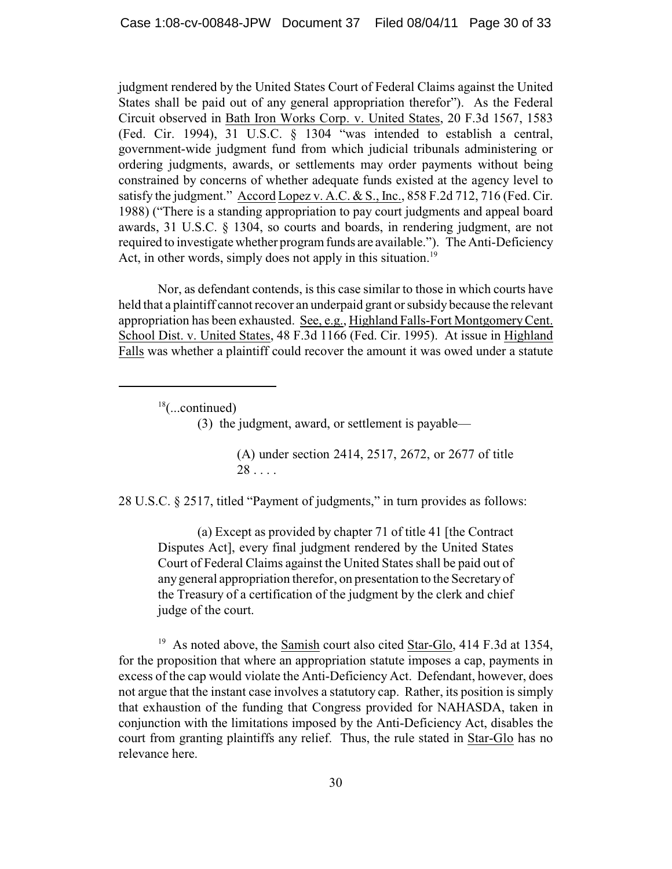judgment rendered by the United States Court of Federal Claims against the United States shall be paid out of any general appropriation therefor"). As the Federal Circuit observed in Bath Iron Works Corp. v. United States, 20 F.3d 1567, 1583 (Fed. Cir. 1994), 31 U.S.C. § 1304 "was intended to establish a central, government-wide judgment fund from which judicial tribunals administering or ordering judgments, awards, or settlements may order payments without being constrained by concerns of whether adequate funds existed at the agency level to satisfy the judgment." Accord Lopez v. A.C. & S., Inc., 858 F.2d 712, 716 (Fed. Cir. 1988) ("There is a standing appropriation to pay court judgments and appeal board awards, 31 U.S.C. § 1304, so courts and boards, in rendering judgment, are not required to investigate whether program funds are available."). The Anti-Deficiency Act, in other words, simply does not apply in this situation.<sup>19</sup>

Nor, as defendant contends, is this case similar to those in which courts have held that a plaintiff cannot recover an underpaid grant or subsidy because the relevant appropriation has been exhausted. See, e.g., Highland Falls-Fort Montgomery Cent. School Dist. v. United States, 48 F.3d 1166 (Fed. Cir. 1995). At issue in Highland Falls was whether a plaintiff could recover the amount it was owed under a statute

 $18$ (...continued)

(3) the judgment, award, or settlement is payable—

(A) under section 2414, 2517, 2672, or 2677 of title 28 . . . .

28 U.S.C. § 2517, titled "Payment of judgments," in turn provides as follows:

(a) Except as provided by chapter 71 of title 41 [the Contract Disputes Act], every final judgment rendered by the United States Court of Federal Claims against the United States shall be paid out of any general appropriation therefor, on presentation to the Secretary of the Treasury of a certification of the judgment by the clerk and chief judge of the court.

<sup>19</sup> As noted above, the Samish court also cited Star-Glo, 414 F.3d at 1354, for the proposition that where an appropriation statute imposes a cap, payments in excess of the cap would violate the Anti-Deficiency Act. Defendant, however, does not argue that the instant case involves a statutory cap. Rather, its position is simply that exhaustion of the funding that Congress provided for NAHASDA, taken in conjunction with the limitations imposed by the Anti-Deficiency Act, disables the court from granting plaintiffs any relief. Thus, the rule stated in Star-Glo has no relevance here.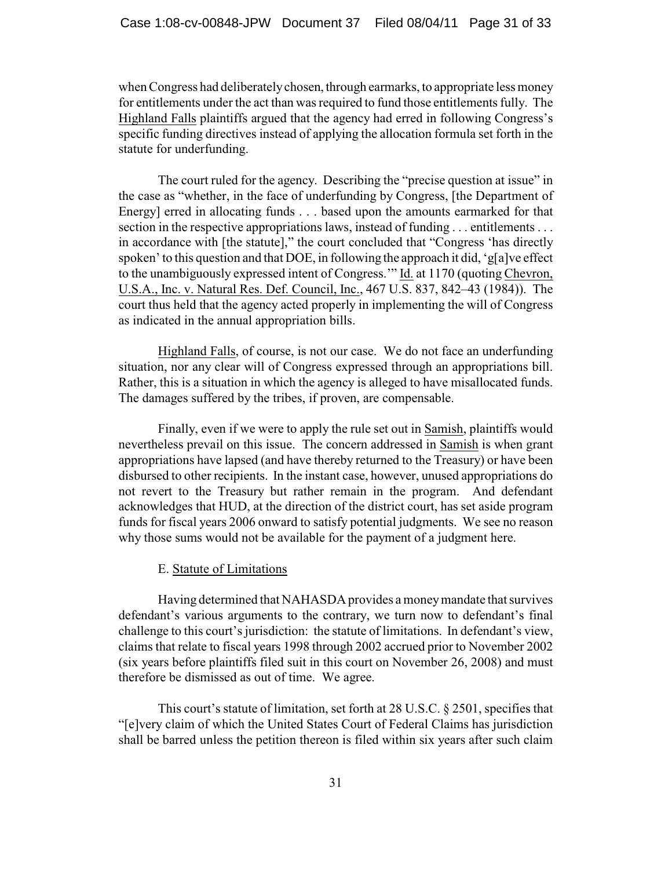when Congress had deliberately chosen, through earmarks, to appropriate less money for entitlements under the act than was required to fund those entitlements fully. The Highland Falls plaintiffs argued that the agency had erred in following Congress's specific funding directives instead of applying the allocation formula set forth in the statute for underfunding.

The court ruled for the agency. Describing the "precise question at issue" in the case as "whether, in the face of underfunding by Congress, [the Department of Energy] erred in allocating funds . . . based upon the amounts earmarked for that section in the respective appropriations laws, instead of funding . . . entitlements . . . in accordance with [the statute]," the court concluded that "Congress 'has directly spoken' to this question and that DOE, in following the approach it did, 'g[a]ve effect to the unambiguously expressed intent of Congress.'" Id. at 1170 (quoting Chevron, U.S.A., Inc. v. Natural Res. Def. Council, Inc., 467 U.S. 837, 842–43 (1984)). The court thus held that the agency acted properly in implementing the will of Congress as indicated in the annual appropriation bills.

Highland Falls, of course, is not our case. We do not face an underfunding situation, nor any clear will of Congress expressed through an appropriations bill. Rather, this is a situation in which the agency is alleged to have misallocated funds. The damages suffered by the tribes, if proven, are compensable.

Finally, even if we were to apply the rule set out in Samish, plaintiffs would nevertheless prevail on this issue. The concern addressed in Samish is when grant appropriations have lapsed (and have thereby returned to the Treasury) or have been disbursed to other recipients. In the instant case, however, unused appropriations do not revert to the Treasury but rather remain in the program. And defendant acknowledges that HUD, at the direction of the district court, has set aside program funds for fiscal years 2006 onward to satisfy potential judgments. We see no reason why those sums would not be available for the payment of a judgment here.

#### E. Statute of Limitations

Having determined that NAHASDA provides a moneymandate that survives defendant's various arguments to the contrary, we turn now to defendant's final challenge to this court's jurisdiction: the statute of limitations. In defendant's view, claims that relate to fiscal years 1998 through 2002 accrued prior to November 2002 (six years before plaintiffs filed suit in this court on November 26, 2008) and must therefore be dismissed as out of time. We agree.

This court's statute of limitation, set forth at 28 U.S.C. § 2501, specifies that "[e]very claim of which the United States Court of Federal Claims has jurisdiction shall be barred unless the petition thereon is filed within six years after such claim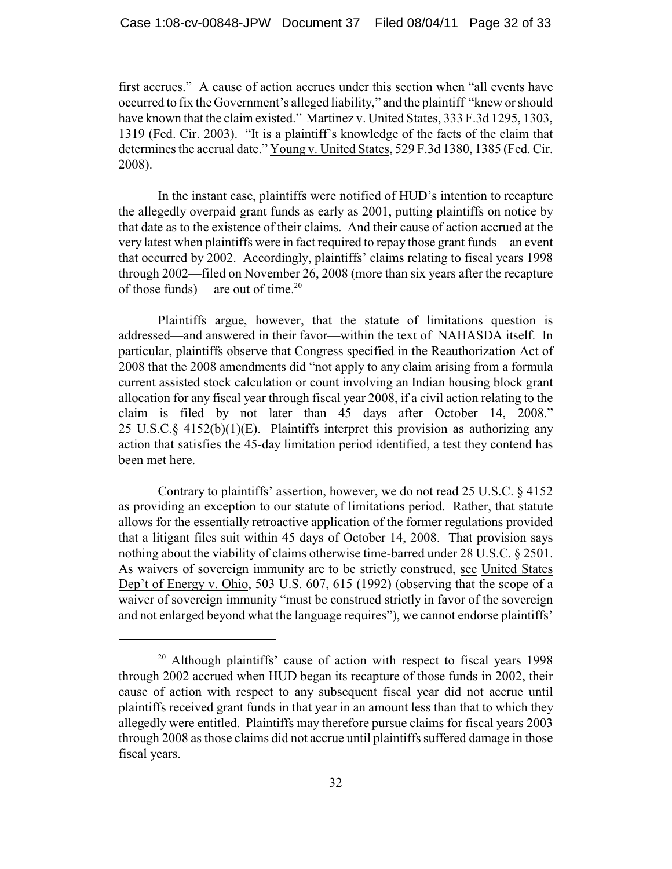first accrues." A cause of action accrues under this section when "all events have occurred to fix the Government's alleged liability," and the plaintiff "knew or should have known that the claim existed." Martinez v. United States, 333 F.3d 1295, 1303, 1319 (Fed. Cir. 2003). "It is a plaintiff's knowledge of the facts of the claim that determines the accrual date." Young v. United States, 529 F.3d 1380, 1385 (Fed. Cir. 2008).

In the instant case, plaintiffs were notified of HUD's intention to recapture the allegedly overpaid grant funds as early as 2001, putting plaintiffs on notice by that date as to the existence of their claims. And their cause of action accrued at the very latest when plaintiffs were in fact required to repay those grant funds—an event that occurred by 2002. Accordingly, plaintiffs' claims relating to fiscal years 1998 through 2002—filed on November 26, 2008 (more than six years after the recapture of those funds)— are out of time. $20$ 

Plaintiffs argue, however, that the statute of limitations question is addressed—and answered in their favor—within the text of NAHASDA itself. In particular, plaintiffs observe that Congress specified in the Reauthorization Act of 2008 that the 2008 amendments did "not apply to any claim arising from a formula current assisted stock calculation or count involving an Indian housing block grant allocation for any fiscal year through fiscal year 2008, if a civil action relating to the claim is filed by not later than 45 days after October 14, 2008." 25 U.S.C.§ 4152(b)(1)(E). Plaintiffs interpret this provision as authorizing any action that satisfies the 45-day limitation period identified, a test they contend has been met here.

Contrary to plaintiffs' assertion, however, we do not read 25 U.S.C. § 4152 as providing an exception to our statute of limitations period. Rather, that statute allows for the essentially retroactive application of the former regulations provided that a litigant files suit within 45 days of October 14, 2008. That provision says nothing about the viability of claims otherwise time-barred under 28 U.S.C. § 2501. As waivers of sovereign immunity are to be strictly construed, see United States Dep't of Energy v. Ohio, 503 U.S. 607, 615 (1992) (observing that the scope of a waiver of sovereign immunity "must be construed strictly in favor of the sovereign and not enlarged beyond what the language requires"), we cannot endorse plaintiffs'

 $20$  Although plaintiffs' cause of action with respect to fiscal years 1998 through 2002 accrued when HUD began its recapture of those funds in 2002, their cause of action with respect to any subsequent fiscal year did not accrue until plaintiffs received grant funds in that year in an amount less than that to which they allegedly were entitled. Plaintiffs may therefore pursue claims for fiscal years 2003 through 2008 as those claims did not accrue until plaintiffs suffered damage in those fiscal years.